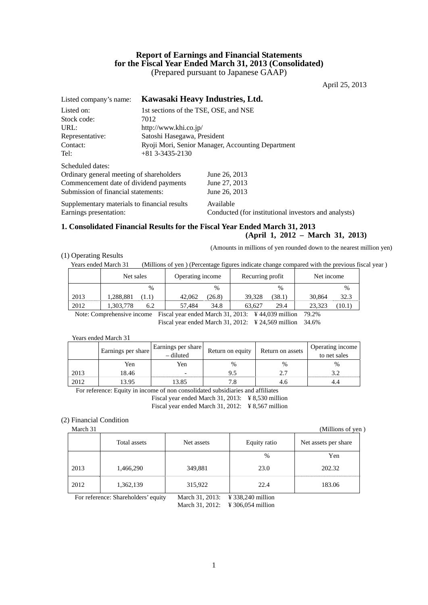# **Report of Earnings and Financial Statements for the Fiscal Year Ended March 31, 2013 (Consolidated)**  (Prepared pursuant to Japanese GAAP)

April 25, 2013

| Listed company's name:                       |                                       | Kawasaki Heavy Industries, Ltd.                      |
|----------------------------------------------|---------------------------------------|------------------------------------------------------|
| Listed on:                                   | 1st sections of the TSE, OSE, and NSE |                                                      |
| Stock code:                                  | 7012                                  |                                                      |
| URL:                                         | http://www.khi.co.jp/                 |                                                      |
| Representative:                              | Satoshi Hasegawa, President           |                                                      |
| Contact:                                     |                                       | Ryoji Mori, Senior Manager, Accounting Department    |
| Tel:                                         | $+81$ 3-3435-2130                     |                                                      |
| Scheduled dates:                             |                                       |                                                      |
| Ordinary general meeting of shareholders     |                                       | June 26, 2013                                        |
| Commencement date of dividend payments       |                                       | June 27, 2013                                        |
| Submission of financial statements:          |                                       | June 26, 2013                                        |
| Supplementary materials to financial results |                                       | Available                                            |
| Earnings presentation:                       |                                       | Conducted (for institutional investors and analysts) |

# **1. Consolidated Financial Results for the Fiscal Year Ended March 31, 2013**

**(April 1, 2012 – March 31, 2013)**  (Amounts in millions of yen rounded down to the nearest million yen)

(1) Operating Results

Years ended March 31 (Millions of yen ) (Percentage figures indicate change compared with the previous fiscal year )

|                | Net sales                | Operating income | Recurring profit         | Net income       |  |
|----------------|--------------------------|------------------|--------------------------|------------------|--|
|                | $\frac{0}{0}$            | $\frac{0}{0}$    | $\frac{0}{0}$            | $\%$             |  |
| 2013           | .288,881<br>(1.1)        | 42,062<br>(26.8) | 39,328<br>38.1)          | 30.864<br>32.3   |  |
| 2012           | .303,778<br>6.2          | 34.8<br>57.484   | 29.4<br>63.627           | 23.323<br>(10.1) |  |
| $\cdot$ $\sim$ | $\overline{\phantom{a}}$ | .                | <br>$\cdots$<br>$\cdots$ | $   -$           |  |

Note: Comprehensive income Fiscal year ended March 31, 2013: ¥ 44,039 million 79.2% Fiscal year ended March 31, 2012: ¥ 24,569 million 34.6%

Years ended March 31

|      | Earnings per share | Earnings per share<br>- diluted | Return on equity | Return on assets | Operating income<br>to net sales |
|------|--------------------|---------------------------------|------------------|------------------|----------------------------------|
|      | Yen                | Yen                             | %                | $\%$             | $\frac{0}{0}$                    |
| 2013 | 18.46              | -                               | د. د             | ר ר              |                                  |
| 2012 | 13.95              |                                 |                  |                  |                                  |

For reference: Equity in income of non consolidated subsidiaries and affiliates Fiscal year ended March 31, 2013: ¥ 8,530 million Fiscal year ended March 31, 2012: ¥ 8,567 million

# (2) Financial Condition

| маген эт |              |            |              | (ivililions of yen   |  |
|----------|--------------|------------|--------------|----------------------|--|
|          | Total assets | Net assets | Equity ratio | Net assets per share |  |
|          |              |            | $\%$         | Yen                  |  |
| 2013     | 1,466,290    | 349,881    | 23.0         | 202.32               |  |
| 2012     | 1,362,139    | 315,922    | 22.4         | 183.06               |  |

For reference: Shareholders' equity March 31, 2013: \# 338,240 million

March 31, 2012: ¥ 306,054 million

 $(Millions of ven)$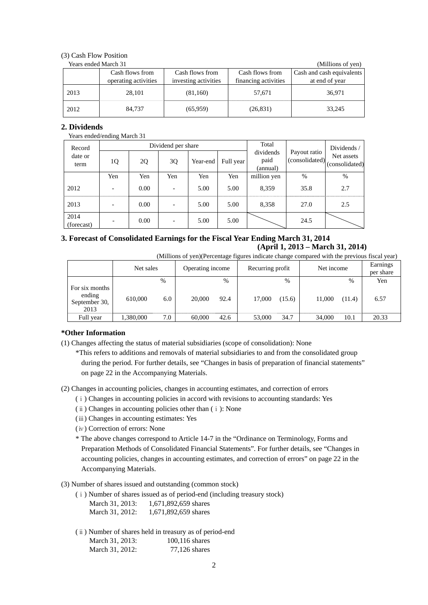# (3) Cash Flow Position

| Years ended March 31 | (Millions of yen)    |                      |                      |                           |
|----------------------|----------------------|----------------------|----------------------|---------------------------|
|                      | Cash flows from      | Cash flows from      | Cash flows from      | Cash and cash equivalents |
|                      | operating activities | investing activities | financing activities | at end of year            |
| 2013                 | 28.101               | (81,160)             | 57.671               | 36,971                    |
| 2012                 | 84,737               | (65,959)             | (26, 831)            | 33,245                    |

# **2. Dividends**

### Years ended/ending March 31

| Record             |                          |      | Dividend per share |          | Total     |                               | Dividends /                    |                              |
|--------------------|--------------------------|------|--------------------|----------|-----------|-------------------------------|--------------------------------|------------------------------|
| date or<br>term    | 1Q                       | 2Q   | 3Q                 | Year-end | Full year | dividends<br>paid<br>(annual) | Payout ratio<br>(consolidated) | Net assets<br>(consolidated) |
|                    | Yen                      | Yen  | Yen                | Yen      | Yen       | million yen                   | %                              | $\%$                         |
| 2012               | $\overline{\phantom{a}}$ | 0.00 |                    | 5.00     | 5.00      | 8,359                         | 35.8                           | 2.7                          |
| 2013               | $\overline{\phantom{a}}$ | 0.00 |                    | 5.00     | 5.00      | 8,358                         | 27.0                           | 2.5                          |
| 2014<br>(forecast) | ۰                        | 0.00 |                    | 5.00     | 5.00      |                               | 24.5                           |                              |

# **3. Forecast of Consolidated Earnings for the Fiscal Year Ending March 31, 2014 (April 1, 2013 – March 31, 2014)**

(Millions of yen)(Percentage figures indicate change compared with the previous fiscal year)

|                                                   | Net sales |      | Operating income |      | Recurring profit |        | Net income |        | Earnings<br>per share |
|---------------------------------------------------|-----------|------|------------------|------|------------------|--------|------------|--------|-----------------------|
|                                                   |           | $\%$ |                  | %    |                  | $\%$   |            | $\%$   | Yen                   |
| For six months<br>ending<br>September 30,<br>2013 | 610,000   | 6.0  | 20,000           | 92.4 | 17,000           | (15.6) | 11,000     | (11.4) | 6.57                  |
| Full year                                         | 1,380,000 | 7.0  | 60,000           | 42.6 | 53,000           | 34.7   | 34,000     | 10.1   | 20.33                 |

### **\*Other Information**

- (1) Changes affecting the status of material subsidiaries (scope of consolidation): None
	- \*This refers to additions and removals of material subsidiaries to and from the consolidated group during the period. For further details, see "Changes in basis of preparation of financial statements" on page 22 in the Accompanying Materials.

(2) Changes in accounting policies, changes in accounting estimates, and correction of errors

- (ⅰ) Changes in accounting policies in accord with revisions to accounting standards: Yes
- (ⅱ) Changes in accounting policies other than (ⅰ): None
- (ⅲ) Changes in accounting estimates: Yes
- (ⅳ) Correction of errors: None
- \* The above changes correspond to Article 14-7 in the "Ordinance on Terminology, Forms and Preparation Methods of Consolidated Financial Statements". For further details, see "Changes in accounting policies, changes in accounting estimates, and correction of errors" on page 22 in the Accompanying Materials.

# (3) Number of shares issued and outstanding (common stock)

- (ⅰ) Number of shares issued as of period-end (including treasury stock)
	- March 31, 2013: 1,671,892,659 shares March 31, 2012: 1,671,892,659 shares
- (ⅱ) Number of shares held in treasury as of period-end March 31, 2013: 100,116 shares

| IVIDICII JI, $\omega$ UIJ. | $100, 110$ shares |
|----------------------------|-------------------|
| March 31, 2012:            | $77,126$ shares   |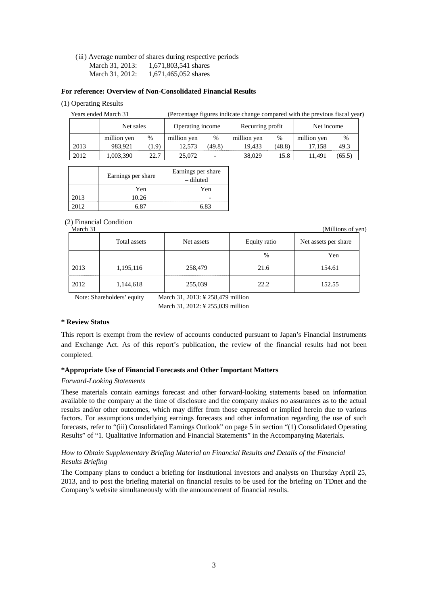(ⅲ) Average number of shares during respective periods

March 31, 2013: 1,671,803,541 shares

March 31, 2012: 1,671,465,052 shares

# **For reference: Overview of Non-Consolidated Financial Results**

(1) Operating Results

Years ended March 31 (Percentage figures indicate change compared with the previous fiscal year)

|      | Net sales   |       | Operating income |        | Recurring profit |        | Net income  |        |
|------|-------------|-------|------------------|--------|------------------|--------|-------------|--------|
|      | million yen | %     | million yen      | %      | million yen      | $\%$   | million yen | %      |
| 2013 | 983.921     | (1.9) | 12.573           | (49.8) | 19.433           | (48.8) | 17.158      | 49.3   |
| 2012 | ,003,390    | 22.7  | 25,072           |        | 38.029           | 15.8   | 11.491      | (65.5) |

|      | Earnings per share | Earnings per share<br>– diluted |
|------|--------------------|---------------------------------|
|      | Yen                | Yen                             |
| 2013 | 10.26              |                                 |
| 2012 |                    |                                 |

# (2) Financial Condition

Total assets Net assets Net assets Equity ratio Net assets per share **1** Yen March 2012 12:30 12:30 12:30 12:30 12:30 12:30 12:30 12:30 12:30 12:30 12:30 12:30 12:30 12:30 12:30 12:30 12:30 12:30 12:30 12:30 12:30 12:30 12:30 12:30 12:30 12:30 12:30 12:30 12:30 12:30 12:30 12:30 12:30 12:30 2013 | 1,195,116 | 258,479 | 21.6 | 154.61 2012 | 1,144,618 | 255,039 | 22.2 | 152.55

Note: Shareholders' equity March 31, 2013: ¥ 258,479 million

March 31, 2012: ¥ 255,039 million

# **\* Review Status**

This report is exempt from the review of accounts conducted pursuant to Japan's Financial Instruments and Exchange Act. As of this report's publication, the review of the financial results had not been completed.

# **\*Appropriate Use of Financial Forecasts and Other Important Matters**

# *Forward-Looking Statements*

These materials contain earnings forecast and other forward-looking statements based on information available to the company at the time of disclosure and the company makes no assurances as to the actual results and/or other outcomes, which may differ from those expressed or implied herein due to various factors. For assumptions underlying earnings forecasts and other information regarding the use of such forecasts, refer to "(iii) Consolidated Earnings Outlook" on page 5 in section "(1) Consolidated Operating Results" of "1. Qualitative Information and Financial Statements" in the Accompanying Materials.

# *How to Obtain Supplementary Briefing Material on Financial Results and Details of the Financial Results Briefing*

The Company plans to conduct a briefing for institutional investors and analysts on Thursday April 25, 2013, and to post the briefing material on financial results to be used for the briefing on TDnet and the Company's website simultaneously with the announcement of financial results.

(Millions of yen)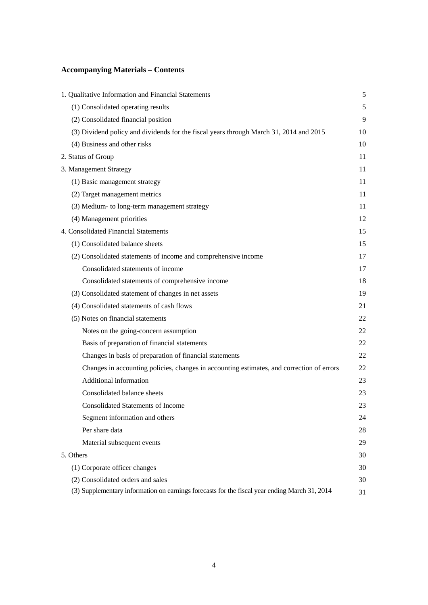# **Accompanying Materials – Contents**

| 1. Qualitative Information and Financial Statements                                           | $\sqrt{5}$ |
|-----------------------------------------------------------------------------------------------|------------|
| (1) Consolidated operating results                                                            | 5          |
| (2) Consolidated financial position                                                           | 9          |
| (3) Dividend policy and dividends for the fiscal years through March 31, 2014 and 2015        | 10         |
| (4) Business and other risks                                                                  | 10         |
| 2. Status of Group                                                                            | 11         |
| 3. Management Strategy                                                                        | 11         |
| (1) Basic management strategy                                                                 | 11         |
| (2) Target management metrics                                                                 | 11         |
| (3) Medium- to long-term management strategy                                                  | 11         |
| (4) Management priorities                                                                     | 12         |
| 4. Consolidated Financial Statements                                                          | 15         |
| (1) Consolidated balance sheets                                                               | 15         |
| (2) Consolidated statements of income and comprehensive income                                | 17         |
| Consolidated statements of income                                                             | 17         |
| Consolidated statements of comprehensive income                                               | 18         |
| (3) Consolidated statement of changes in net assets                                           | 19         |
| (4) Consolidated statements of cash flows                                                     | 21         |
| (5) Notes on financial statements                                                             | 22         |
| Notes on the going-concern assumption                                                         | 22         |
| Basis of preparation of financial statements                                                  | 22         |
| Changes in basis of preparation of financial statements                                       | 22         |
| Changes in accounting policies, changes in accounting estimates, and correction of errors     | 22         |
| Additional information                                                                        | 23         |
| Consolidated balance sheets                                                                   | 23         |
| <b>Consolidated Statements of Income</b>                                                      | 23         |
| Segment information and others                                                                | 24         |
| Per share data                                                                                | 28         |
| Material subsequent events                                                                    | 29         |
| 5. Others                                                                                     | 30         |
| (1) Corporate officer changes                                                                 | 30         |
| (2) Consolidated orders and sales                                                             | 30         |
| (3) Supplementary information on earnings forecasts for the fiscal year ending March 31, 2014 | 31         |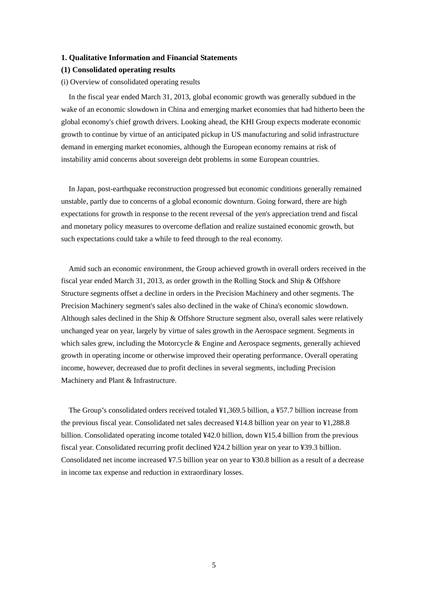### **1. Qualitative Information and Financial Statements**

### **(1) Consolidated operating results**

### (i) Overview of consolidated operating results

In the fiscal year ended March 31, 2013, global economic growth was generally subdued in the wake of an economic slowdown in China and emerging market economies that had hitherto been the global economy's chief growth drivers. Looking ahead, the KHI Group expects moderate economic growth to continue by virtue of an anticipated pickup in US manufacturing and solid infrastructure demand in emerging market economies, although the European economy remains at risk of instability amid concerns about sovereign debt problems in some European countries.

In Japan, post-earthquake reconstruction progressed but economic conditions generally remained unstable, partly due to concerns of a global economic downturn. Going forward, there are high expectations for growth in response to the recent reversal of the yen's appreciation trend and fiscal and monetary policy measures to overcome deflation and realize sustained economic growth, but such expectations could take a while to feed through to the real economy.

Amid such an economic environment, the Group achieved growth in overall orders received in the fiscal year ended March 31, 2013, as order growth in the Rolling Stock and Ship & Offshore Structure segments offset a decline in orders in the Precision Machinery and other segments. The Precision Machinery segment's sales also declined in the wake of China's economic slowdown. Although sales declined in the Ship & Offshore Structure segment also, overall sales were relatively unchanged year on year, largely by virtue of sales growth in the Aerospace segment. Segments in which sales grew, including the Motorcycle & Engine and Aerospace segments, generally achieved growth in operating income or otherwise improved their operating performance. Overall operating income, however, decreased due to profit declines in several segments, including Precision Machinery and Plant & Infrastructure.

The Group's consolidated orders received totaled ¥1,369.5 billion, a ¥57.7 billion increase from the previous fiscal year. Consolidated net sales decreased ¥14.8 billion year on year to ¥1,288.8 billion. Consolidated operating income totaled ¥42.0 billion, down ¥15.4 billion from the previous fiscal year. Consolidated recurring profit declined ¥24.2 billion year on year to ¥39.3 billion. Consolidated net income increased ¥7.5 billion year on year to ¥30.8 billion as a result of a decrease in income tax expense and reduction in extraordinary losses.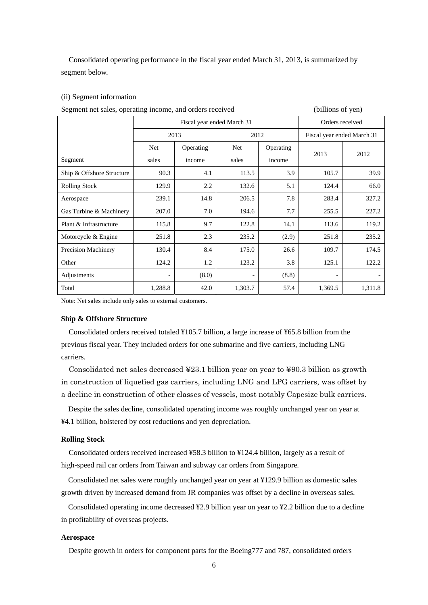Consolidated operating performance in the fiscal year ended March 31, 2013, is summarized by segment below.

# (ii) Segment information

| Fiscal year ended March 31<br>Orders received<br>2012<br>2013<br>Fiscal year ended March 31<br>Operating<br>Operating<br><b>Net</b><br><b>Net</b><br>2013<br>2012<br>Segment<br>sales<br>sales<br>income<br>income<br>Ship & Offshore Structure<br>113.5<br>3.9<br>105.7<br>39.9<br>90.3<br>4.1<br>2.2<br>5.1<br><b>Rolling Stock</b><br>129.9<br>132.6<br>124.4<br>66.0<br>7.8<br>14.8<br>206.5<br>283.4<br>239.1<br>327.2<br>Aerospace<br>7.0<br>7.7<br>227.2<br>207.0<br>194.6<br>255.5<br>Gas Turbine & Machinery<br>9.7<br>Plant & Infrastructure<br>115.8<br>122.8<br>113.6<br>119.2<br>14.1<br>2.3<br>235.2<br>251.8<br>235.2<br>(2.9)<br>251.8<br>Motorcycle & Engine<br>130.4<br>8.4<br>175.0<br>174.5<br>Precision Machinery<br>26.6<br>109.7<br>3.8<br>122.2<br>124.2<br>1.2<br>123.2<br>125.1<br>Other<br>(8.0)<br>(8.8)<br>Adjustments<br>$\overline{\phantom{a}}$<br>$\overline{\phantom{a}}$<br>$\overline{\phantom{a}}$ | Segment net sales, operating income, and orders received | (billions of yen) |      |         |      |         |         |  |
|-----------------------------------------------------------------------------------------------------------------------------------------------------------------------------------------------------------------------------------------------------------------------------------------------------------------------------------------------------------------------------------------------------------------------------------------------------------------------------------------------------------------------------------------------------------------------------------------------------------------------------------------------------------------------------------------------------------------------------------------------------------------------------------------------------------------------------------------------------------------------------------------------------------------------------------------|----------------------------------------------------------|-------------------|------|---------|------|---------|---------|--|
|                                                                                                                                                                                                                                                                                                                                                                                                                                                                                                                                                                                                                                                                                                                                                                                                                                                                                                                                         |                                                          |                   |      |         |      |         |         |  |
|                                                                                                                                                                                                                                                                                                                                                                                                                                                                                                                                                                                                                                                                                                                                                                                                                                                                                                                                         |                                                          |                   |      |         |      |         |         |  |
|                                                                                                                                                                                                                                                                                                                                                                                                                                                                                                                                                                                                                                                                                                                                                                                                                                                                                                                                         |                                                          |                   |      |         |      |         |         |  |
|                                                                                                                                                                                                                                                                                                                                                                                                                                                                                                                                                                                                                                                                                                                                                                                                                                                                                                                                         |                                                          |                   |      |         |      |         |         |  |
|                                                                                                                                                                                                                                                                                                                                                                                                                                                                                                                                                                                                                                                                                                                                                                                                                                                                                                                                         |                                                          |                   |      |         |      |         |         |  |
|                                                                                                                                                                                                                                                                                                                                                                                                                                                                                                                                                                                                                                                                                                                                                                                                                                                                                                                                         |                                                          |                   |      |         |      |         |         |  |
|                                                                                                                                                                                                                                                                                                                                                                                                                                                                                                                                                                                                                                                                                                                                                                                                                                                                                                                                         |                                                          |                   |      |         |      |         |         |  |
|                                                                                                                                                                                                                                                                                                                                                                                                                                                                                                                                                                                                                                                                                                                                                                                                                                                                                                                                         |                                                          |                   |      |         |      |         |         |  |
|                                                                                                                                                                                                                                                                                                                                                                                                                                                                                                                                                                                                                                                                                                                                                                                                                                                                                                                                         |                                                          |                   |      |         |      |         |         |  |
|                                                                                                                                                                                                                                                                                                                                                                                                                                                                                                                                                                                                                                                                                                                                                                                                                                                                                                                                         |                                                          |                   |      |         |      |         |         |  |
|                                                                                                                                                                                                                                                                                                                                                                                                                                                                                                                                                                                                                                                                                                                                                                                                                                                                                                                                         |                                                          |                   |      |         |      |         |         |  |
|                                                                                                                                                                                                                                                                                                                                                                                                                                                                                                                                                                                                                                                                                                                                                                                                                                                                                                                                         |                                                          |                   |      |         |      |         |         |  |
|                                                                                                                                                                                                                                                                                                                                                                                                                                                                                                                                                                                                                                                                                                                                                                                                                                                                                                                                         |                                                          |                   |      |         |      |         |         |  |
|                                                                                                                                                                                                                                                                                                                                                                                                                                                                                                                                                                                                                                                                                                                                                                                                                                                                                                                                         | Total                                                    | 1,288.8           | 42.0 | 1,303.7 | 57.4 | 1,369.5 | 1,311.8 |  |

Note: Net sales include only sales to external customers.

### **Ship & Offshore Structure**

Consolidated orders received totaled ¥105.7 billion, a large increase of ¥65.8 billion from the previous fiscal year. They included orders for one submarine and five carriers, including LNG carriers.

Consolidated net sales decreased ¥23.1 billion year on year to ¥90.3 billion as growth in construction of liquefied gas carriers, including LNG and LPG carriers, was offset by a decline in construction of other classes of vessels, most notably Capesize bulk carriers.

Despite the sales decline, consolidated operating income was roughly unchanged year on year at ¥4.1 billion, bolstered by cost reductions and yen depreciation.

### **Rolling Stock**

Consolidated orders received increased ¥58.3 billion to ¥124.4 billion, largely as a result of high-speed rail car orders from Taiwan and subway car orders from Singapore.

Consolidated net sales were roughly unchanged year on year at ¥129.9 billion as domestic sales growth driven by increased demand from JR companies was offset by a decline in overseas sales.

Consolidated operating income decreased ¥2.9 billion year on year to ¥2.2 billion due to a decline in profitability of overseas projects.

### **Aerospace**

Despite growth in orders for component parts for the Boeing777 and 787, consolidated orders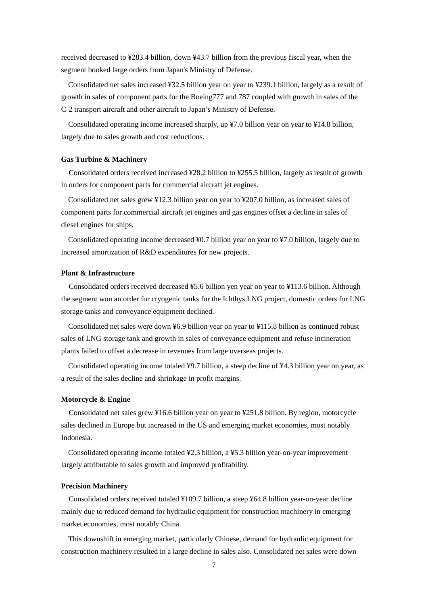received decreased to ¥283.4 billion, down ¥43.7 billion from the previous fiscal year, when the segment booked large orders from Japan's Ministry of Defense.

Consolidated net sales increased ¥32.5 billion year on year to ¥239.1 billion, largely as a result of growth in sales of component parts for the Boeing777 and 787 coupled with growth in sales of the C-2 transport aircraft and other aircraft to Japan's Ministry of Defense.

Consolidated operating income increased sharply, up ¥7.0 billion year on year to ¥14.8 billion, largely due to sales growth and cost reductions.

### **Gas Turbine & Machinery**

Consolidated orders received increased ¥28.2 billion to ¥255.5 billion, largely as result of growth in orders for component parts for commercial aircraft jet engines.

Consolidated net sales grew ¥12.3 billion year on year to ¥207.0 billion, as increased sales of component parts for commercial aircraft jet engines and gas engines offset a decline in sales of diesel engines for ships.

Consolidated operating income decreased ¥0.7 billion year on year to ¥7.0 billion, largely due to increased amortization of R&D expenditures for new projects.

### **Plant & Infrastructure**

Consolidated orders received decreased ¥5.6 billion yen year on year to ¥113.6 billion. Although the segment won an order for cryogenic tanks for the Ichthys LNG project, domestic orders for LNG storage tanks and conveyance equipment declined.

Consolidated net sales were down ¥6.9 billion year on year to ¥115.8 billion as continued robust sales of LNG storage tank and growth in sales of conveyance equipment and refuse incineration plants failed to offset a decrease in revenues from large overseas projects.

Consolidated operating income totaled ¥9.7 billion, a steep decline of ¥4.3 billion year on year, as a result of the sales decline and shrinkage in profit margins.

### **Motorcycle & Engine**

Consolidated net sales grew ¥16.6 billion year on year to ¥251.8 billion. By region, motorcycle sales declined in Europe but increased in the US and emerging market economies, most notably Indonesia.

Consolidated operating income totaled ¥2.3 billion, a ¥5.3 billion year-on-year improvement largely attributable to sales growth and improved profitability.

### **Precision Machinery**

Consolidated orders received totaled ¥109.7 billion, a steep ¥64.8 billion year-on-year decline mainly due to reduced demand for hydraulic equipment for construction machinery in emerging market economies, most notably China.

This downshift in emerging market, particularly Chinese, demand for hydraulic equipment for construction machinery resulted in a large decline in sales also. Consolidated net sales were down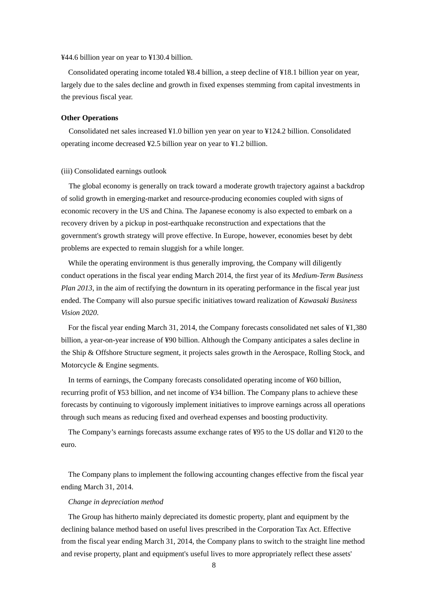¥44.6 billion year on year to ¥130.4 billion.

Consolidated operating income totaled ¥8.4 billion, a steep decline of ¥18.1 billion year on year, largely due to the sales decline and growth in fixed expenses stemming from capital investments in the previous fiscal year.

### **Other Operations**

Consolidated net sales increased ¥1.0 billion yen year on year to ¥124.2 billion. Consolidated operating income decreased ¥2.5 billion year on year to ¥1.2 billion.

#### (iii) Consolidated earnings outlook

The global economy is generally on track toward a moderate growth trajectory against a backdrop of solid growth in emerging-market and resource-producing economies coupled with signs of economic recovery in the US and China. The Japanese economy is also expected to embark on a recovery driven by a pickup in post-earthquake reconstruction and expectations that the government's growth strategy will prove effective. In Europe, however, economies beset by debt problems are expected to remain sluggish for a while longer.

While the operating environment is thus generally improving, the Company will diligently conduct operations in the fiscal year ending March 2014, the first year of its *Medium-Term Business Plan 2013*, in the aim of rectifying the downturn in its operating performance in the fiscal year just ended. The Company will also pursue specific initiatives toward realization of *Kawasaki Business Vision 2020*.

For the fiscal year ending March 31, 2014, the Company forecasts consolidated net sales of ¥1,380 billion, a year-on-year increase of ¥90 billion. Although the Company anticipates a sales decline in the Ship & Offshore Structure segment, it projects sales growth in the Aerospace, Rolling Stock, and Motorcycle & Engine segments.

In terms of earnings, the Company forecasts consolidated operating income of ¥60 billion, recurring profit of ¥53 billion, and net income of ¥34 billion. The Company plans to achieve these forecasts by continuing to vigorously implement initiatives to improve earnings across all operations through such means as reducing fixed and overhead expenses and boosting productivity.

The Company's earnings forecasts assume exchange rates of ¥95 to the US dollar and ¥120 to the euro.

The Company plans to implement the following accounting changes effective from the fiscal year ending March 31, 2014.

### *Change in depreciation method*

The Group has hitherto mainly depreciated its domestic property, plant and equipment by the declining balance method based on useful lives prescribed in the Corporation Tax Act. Effective from the fiscal year ending March 31, 2014, the Company plans to switch to the straight line method and revise property, plant and equipment's useful lives to more appropriately reflect these assets'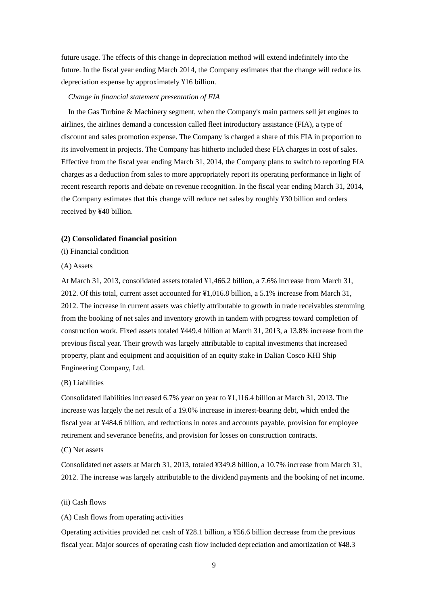future usage. The effects of this change in depreciation method will extend indefinitely into the future. In the fiscal year ending March 2014, the Company estimates that the change will reduce its depreciation expense by approximately ¥16 billion.

### *Change in financial statement presentation of FIA*

In the Gas Turbine & Machinery segment, when the Company's main partners sell jet engines to airlines, the airlines demand a concession called fleet introductory assistance (FIA), a type of discount and sales promotion expense. The Company is charged a share of this FIA in proportion to its involvement in projects. The Company has hitherto included these FIA charges in cost of sales. Effective from the fiscal year ending March 31, 2014, the Company plans to switch to reporting FIA charges as a deduction from sales to more appropriately report its operating performance in light of recent research reports and debate on revenue recognition. In the fiscal year ending March 31, 2014, the Company estimates that this change will reduce net sales by roughly ¥30 billion and orders received by ¥40 billion.

### **(2) Consolidated financial position**

(i) Financial condition

### (A) Assets

At March 31, 2013, consolidated assets totaled ¥1,466.2 billion, a 7.6% increase from March 31, 2012. Of this total, current asset accounted for ¥1,016.8 billion, a 5.1% increase from March 31, 2012. The increase in current assets was chiefly attributable to growth in trade receivables stemming from the booking of net sales and inventory growth in tandem with progress toward completion of construction work. Fixed assets totaled ¥449.4 billion at March 31, 2013, a 13.8% increase from the previous fiscal year. Their growth was largely attributable to capital investments that increased property, plant and equipment and acquisition of an equity stake in Dalian Cosco KHI Ship Engineering Company, Ltd.

### (B) Liabilities

Consolidated liabilities increased 6.7% year on year to ¥1,116.4 billion at March 31, 2013. The increase was largely the net result of a 19.0% increase in interest-bearing debt, which ended the fiscal year at ¥484.6 billion, and reductions in notes and accounts payable, provision for employee retirement and severance benefits, and provision for losses on construction contracts.

### (C) Net assets

Consolidated net assets at March 31, 2013, totaled ¥349.8 billion, a 10.7% increase from March 31, 2012. The increase was largely attributable to the dividend payments and the booking of net income.

### (ii) Cash flows

### (A) Cash flows from operating activities

Operating activities provided net cash of ¥28.1 billion, a ¥56.6 billion decrease from the previous fiscal year. Major sources of operating cash flow included depreciation and amortization of ¥48.3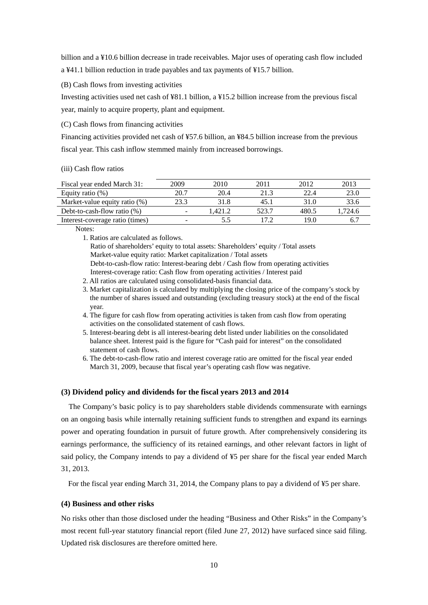billion and a ¥10.6 billion decrease in trade receivables. Major uses of operating cash flow included a ¥41.1 billion reduction in trade payables and tax payments of ¥15.7 billion.

(B) Cash flows from investing activities

Investing activities used net cash of ¥81.1 billion, a ¥15.2 billion increase from the previous fiscal year, mainly to acquire property, plant and equipment.

(C) Cash flows from financing activities

Financing activities provided net cash of ¥57.6 billion, an ¥84.5 billion increase from the previous fiscal year. This cash inflow stemmed mainly from increased borrowings.

### (iii) Cash flow ratios

| Fiscal year ended March 31:     | 2009 | 2010   | 2011  | 2012  | 2013   |
|---------------------------------|------|--------|-------|-------|--------|
| Equity ratio $(\%)$             | 20 7 | 20.4   | 21.3  | 22.4  | 23.0   |
| Market-value equity ratio (%)   |      | 31.8   | 45.1  | 31.0  | 33.6   |
| Debt-to-cash-flow ratio $(\%)$  |      | .421.2 | 523.7 | 480.5 | .724.6 |
| Interest-coverage ratio (times) |      |        |       | 19.0  |        |

Notes:

1. Ratios are calculated as follows.

Ratio of shareholders' equity to total assets: Shareholders' equity / Total assets Market-value equity ratio: Market capitalization / Total assets Debt-to-cash-flow ratio: Interest-bearing debt / Cash flow from operating activities Interest-coverage ratio: Cash flow from operating activities / Interest paid

- 2. All ratios are calculated using consolidated-basis financial data.
- 3. Market capitalization is calculated by multiplying the closing price of the company's stock by the number of shares issued and outstanding (excluding treasury stock) at the end of the fiscal year.
- 4. The figure for cash flow from operating activities is taken from cash flow from operating activities on the consolidated statement of cash flows.
- 5. Interest-bearing debt is all interest-bearing debt listed under liabilities on the consolidated balance sheet. Interest paid is the figure for "Cash paid for interest" on the consolidated statement of cash flows.
- 6. The debt-to-cash-flow ratio and interest coverage ratio are omitted for the fiscal year ended March 31, 2009, because that fiscal year's operating cash flow was negative.

# **(3) Dividend policy and dividends for the fiscal years 2013 and 2014**

The Company's basic policy is to pay shareholders stable dividends commensurate with earnings on an ongoing basis while internally retaining sufficient funds to strengthen and expand its earnings power and operating foundation in pursuit of future growth. After comprehensively considering its earnings performance, the sufficiency of its retained earnings, and other relevant factors in light of said policy, the Company intends to pay a dividend of ¥5 per share for the fiscal year ended March 31, 2013.

For the fiscal year ending March 31, 2014, the Company plans to pay a dividend of ¥5 per share.

# **(4) Business and other risks**

No risks other than those disclosed under the heading "Business and Other Risks" in the Company's most recent full-year statutory financial report (filed June 27, 2012) have surfaced since said filing. Updated risk disclosures are therefore omitted here.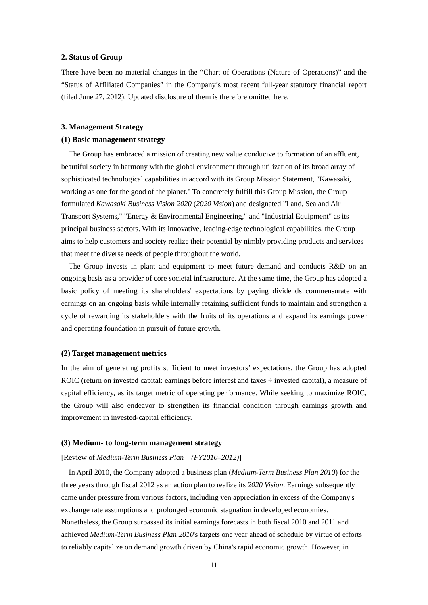## **2. Status of Group**

There have been no material changes in the "Chart of Operations (Nature of Operations)" and the "Status of Affiliated Companies" in the Company's most recent full-year statutory financial report (filed June 27, 2012). Updated disclosure of them is therefore omitted here.

### **3. Management Strategy**

# **(1) Basic management strategy**

The Group has embraced a mission of creating new value conducive to formation of an affluent, beautiful society in harmony with the global environment through utilization of its broad array of sophisticated technological capabilities in accord with its Group Mission Statement, "Kawasaki, working as one for the good of the planet." To concretely fulfill this Group Mission, the Group formulated *Kawasaki Business Vision 2020* (*2020 Vision*) and designated "Land, Sea and Air Transport Systems," "Energy & Environmental Engineering," and "Industrial Equipment" as its principal business sectors. With its innovative, leading-edge technological capabilities, the Group aims to help customers and society realize their potential by nimbly providing products and services that meet the diverse needs of people throughout the world.

The Group invests in plant and equipment to meet future demand and conducts R&D on an ongoing basis as a provider of core societal infrastructure. At the same time, the Group has adopted a basic policy of meeting its shareholders' expectations by paying dividends commensurate with earnings on an ongoing basis while internally retaining sufficient funds to maintain and strengthen a cycle of rewarding its stakeholders with the fruits of its operations and expand its earnings power and operating foundation in pursuit of future growth.

### **(2) Target management metrics**

In the aim of generating profits sufficient to meet investors' expectations, the Group has adopted ROIC (return on invested capital: earnings before interest and taxes  $\div$  invested capital), a measure of capital efficiency, as its target metric of operating performance. While seeking to maximize ROIC, the Group will also endeavor to strengthen its financial condition through earnings growth and improvement in invested-capital efficiency.

### **(3) Medium- to long-term management strategy**

#### [Review of *Medium-Term Business Plan (FY2010–2012)*]

In April 2010, the Company adopted a business plan (*Medium-Term Business Plan 2010*) for the three years through fiscal 2012 as an action plan to realize its *2020 Vision*. Earnings subsequently came under pressure from various factors, including yen appreciation in excess of the Company's exchange rate assumptions and prolonged economic stagnation in developed economies. Nonetheless, the Group surpassed its initial earnings forecasts in both fiscal 2010 and 2011 and achieved *Medium-Term Business Plan 2010*'s targets one year ahead of schedule by virtue of efforts to reliably capitalize on demand growth driven by China's rapid economic growth. However, in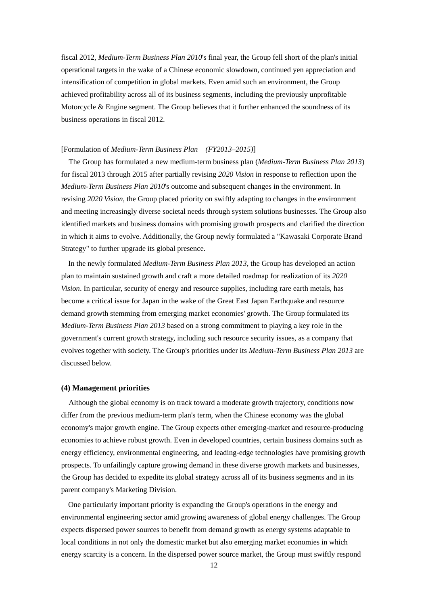fiscal 2012, *Medium-Term Business Plan 2010*'s final year, the Group fell short of the plan's initial operational targets in the wake of a Chinese economic slowdown, continued yen appreciation and intensification of competition in global markets. Even amid such an environment, the Group achieved profitability across all of its business segments, including the previously unprofitable Motorcycle & Engine segment. The Group believes that it further enhanced the soundness of its business operations in fiscal 2012.

## [Formulation of *Medium-Term Business Plan (FY2013–2015)*]

The Group has formulated a new medium-term business plan (*Medium-Term Business Plan 2013*) for fiscal 2013 through 2015 after partially revising *2020 Vision* in response to reflection upon the *Medium-Term Business Plan 2010*'s outcome and subsequent changes in the environment. In revising *2020 Vision*, the Group placed priority on swiftly adapting to changes in the environment and meeting increasingly diverse societal needs through system solutions businesses. The Group also identified markets and business domains with promising growth prospects and clarified the direction in which it aims to evolve. Additionally, the Group newly formulated a "Kawasaki Corporate Brand Strategy" to further upgrade its global presence.

In the newly formulated *Medium-Term Business Plan 2013*, the Group has developed an action plan to maintain sustained growth and craft a more detailed roadmap for realization of its *2020 Vision*. In particular, security of energy and resource supplies, including rare earth metals, has become a critical issue for Japan in the wake of the Great East Japan Earthquake and resource demand growth stemming from emerging market economies' growth. The Group formulated its *Medium-Term Business Plan 2013* based on a strong commitment to playing a key role in the government's current growth strategy, including such resource security issues, as a company that evolves together with society. The Group's priorities under its *Medium-Term Business Plan 2013* are discussed below.

### **(4) Management priorities**

Although the global economy is on track toward a moderate growth trajectory, conditions now differ from the previous medium-term plan's term, when the Chinese economy was the global economy's major growth engine. The Group expects other emerging-market and resource-producing economies to achieve robust growth. Even in developed countries, certain business domains such as energy efficiency, environmental engineering, and leading-edge technologies have promising growth prospects. To unfailingly capture growing demand in these diverse growth markets and businesses, the Group has decided to expedite its global strategy across all of its business segments and in its parent company's Marketing Division.

One particularly important priority is expanding the Group's operations in the energy and environmental engineering sector amid growing awareness of global energy challenges. The Group expects dispersed power sources to benefit from demand growth as energy systems adaptable to local conditions in not only the domestic market but also emerging market economies in which energy scarcity is a concern. In the dispersed power source market, the Group must swiftly respond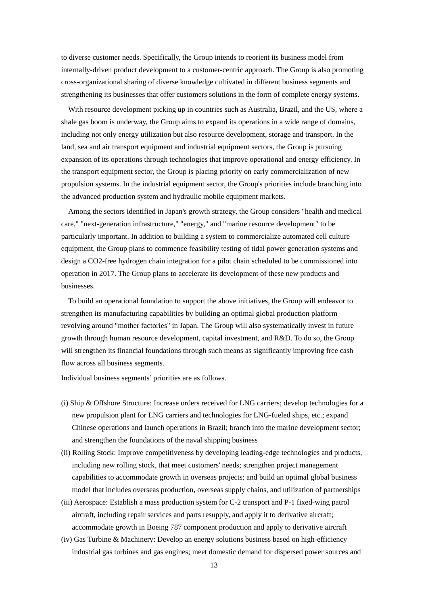to diverse customer needs. Specifically, the Group intends to reorient its business model from internally-driven product development to a customer-centric approach. The Group is also promoting cross-organizational sharing of diverse knowledge cultivated in different business segments and strengthening its businesses that offer customers solutions in the form of complete energy systems.

With resource development picking up in countries such as Australia, Brazil, and the US, where a shale gas boom is underway, the Group aims to expand its operations in a wide range of domains, including not only energy utilization but also resource development, storage and transport. In the land, sea and air transport equipment and industrial equipment sectors, the Group is pursuing expansion of its operations through technologies that improve operational and energy efficiency. In the transport equipment sector, the Group is placing priority on early commercialization of new propulsion systems. In the industrial equipment sector, the Group's priorities include branching into the advanced production system and hydraulic mobile equipment markets.

Among the sectors identified in Japan's growth strategy, the Group considers "health and medical care," "next-generation infrastructure," "energy," and "marine resource development" to be particularly important. In addition to building a system to commercialize automated cell culture equipment, the Group plans to commence feasibility testing of tidal power generation systems and design a CO2-free hydrogen chain integration for a pilot chain scheduled to be commissioned into operation in 2017. The Group plans to accelerate its development of these new products and businesses.

To build an operational foundation to support the above initiatives, the Group will endeavor to strengthen its manufacturing capabilities by building an optimal global production platform revolving around "mother factories" in Japan. The Group will also systematically invest in future growth through human resource development, capital investment, and R&D. To do so, the Group will strengthen its financial foundations through such means as significantly improving free cash flow across all business segments.

Individual business segments' priorities are as follows.

- (i) Ship & Offshore Structure: Increase orders received for LNG carriers; develop technologies for a new propulsion plant for LNG carriers and technologies for LNG-fueled ships, etc.; expand Chinese operations and launch operations in Brazil; branch into the marine development sector; and strengthen the foundations of the naval shipping business
- (ii) Rolling Stock: Improve competitiveness by developing leading-edge technologies and products, including new rolling stock, that meet customers' needs; strengthen project management capabilities to accommodate growth in overseas projects; and build an optimal global business model that includes overseas production, overseas supply chains, and utilization of partnerships
- (iii) Aerospace: Establish a mass production system for C-2 transport and P-1 fixed-wing patrol aircraft, including repair services and parts resupply, and apply it to derivative aircraft; accommodate growth in Boeing 787 component production and apply to derivative aircraft
- (iv) Gas Turbine & Machinery: Develop an energy solutions business based on high-efficiency industrial gas turbines and gas engines; meet domestic demand for dispersed power sources and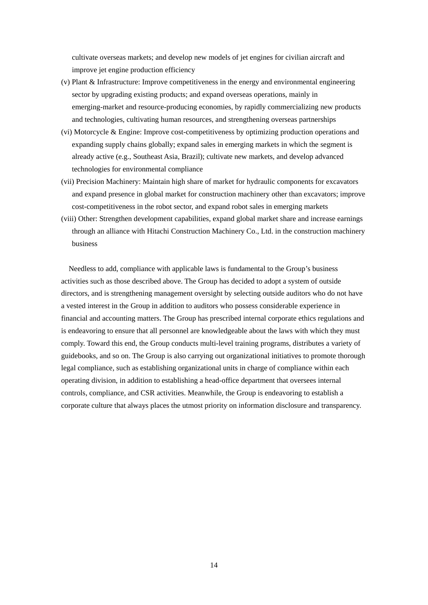cultivate overseas markets; and develop new models of jet engines for civilian aircraft and improve jet engine production efficiency

- (v) Plant & Infrastructure: Improve competitiveness in the energy and environmental engineering sector by upgrading existing products; and expand overseas operations, mainly in emerging-market and resource-producing economies, by rapidly commercializing new products and technologies, cultivating human resources, and strengthening overseas partnerships
- (vi) Motorcycle & Engine: Improve cost-competitiveness by optimizing production operations and expanding supply chains globally; expand sales in emerging markets in which the segment is already active (e.g., Southeast Asia, Brazil); cultivate new markets, and develop advanced technologies for environmental compliance
- (vii) Precision Machinery: Maintain high share of market for hydraulic components for excavators and expand presence in global market for construction machinery other than excavators; improve cost-competitiveness in the robot sector, and expand robot sales in emerging markets
- (viii) Other: Strengthen development capabilities, expand global market share and increase earnings through an alliance with Hitachi Construction Machinery Co., Ltd. in the construction machinery business

Needless to add, compliance with applicable laws is fundamental to the Group's business activities such as those described above. The Group has decided to adopt a system of outside directors, and is strengthening management oversight by selecting outside auditors who do not have a vested interest in the Group in addition to auditors who possess considerable experience in financial and accounting matters. The Group has prescribed internal corporate ethics regulations and is endeavoring to ensure that all personnel are knowledgeable about the laws with which they must comply. Toward this end, the Group conducts multi-level training programs, distributes a variety of guidebooks, and so on. The Group is also carrying out organizational initiatives to promote thorough legal compliance, such as establishing organizational units in charge of compliance within each operating division, in addition to establishing a head-office department that oversees internal controls, compliance, and CSR activities. Meanwhile, the Group is endeavoring to establish a corporate culture that always places the utmost priority on information disclosure and transparency.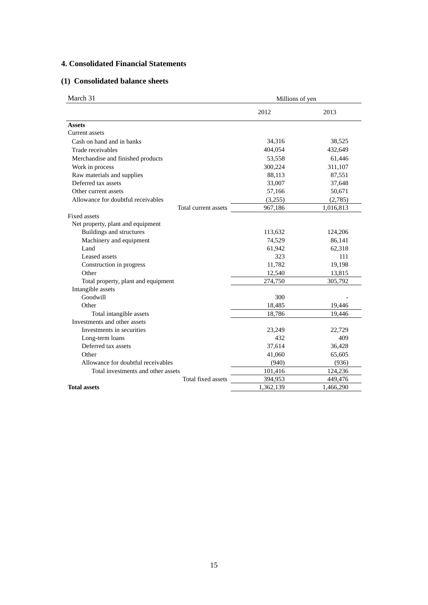# **4. Consolidated Financial Statements**

# **(1) Consolidated balance sheets**

| March 31<br>Millions of yen         |           |           |
|-------------------------------------|-----------|-----------|
|                                     | 2012      | 2013      |
| <b>Assets</b>                       |           |           |
| Current assets                      |           |           |
| Cash on hand and in banks           | 34,316    | 38,525    |
| Trade receivables                   | 404,054   | 432,649   |
| Merchandise and finished products   | 53,558    | 61,446    |
| Work in process                     | 300,224   | 311,107   |
| Raw materials and supplies          | 88,113    | 87,551    |
| Deferred tax assets                 | 33,007    | 37,648    |
| Other current assets                | 57,166    | 50,671    |
| Allowance for doubtful receivables  | (3,255)   | (2,785)   |
| Total current assets                | 967,186   | 1,016,813 |
| Fixed assets                        |           |           |
| Net property, plant and equipment   |           |           |
| <b>Buildings and structures</b>     | 113,632   | 124,206   |
| Machinery and equipment             | 74,529    | 86,141    |
| Land                                | 61,942    | 62,318    |
| Leased assets                       | 323       | 111       |
| Construction in progress            | 11,782    | 19,198    |
| Other                               | 12,540    | 13,815    |
| Total property, plant and equipment | 274,750   | 305,792   |
| Intangible assets                   |           |           |
| Goodwill                            | 300       |           |
| Other                               | 18,485    | 19,446    |
| Total intangible assets             | 18,786    | 19,446    |
| Investments and other assets        |           |           |
| Investments in securities           | 23,249    | 22,729    |
| Long-term loans                     | 432       | 409       |
| Deferred tax assets                 | 37,614    | 36,428    |
| Other                               | 41,060    | 65,605    |
| Allowance for doubtful receivables  | (940)     | (936)     |
| Total investments and other assets  | 101,416   | 124,236   |
| Total fixed assets                  | 394,953   | 449,476   |
| <b>Total assets</b>                 | 1,362,139 | 1,466,290 |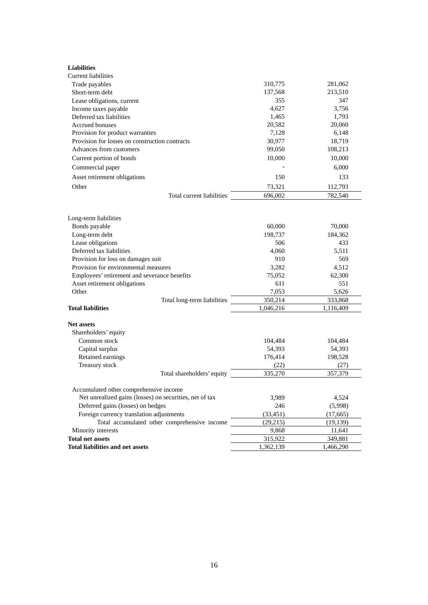| <b>Liabilities</b>                                      |                             |           |           |
|---------------------------------------------------------|-----------------------------|-----------|-----------|
| Current liabilities                                     |                             |           |           |
| Trade payables                                          |                             | 310,775   | 281,062   |
| Short-term debt                                         |                             | 137,568   | 213,510   |
| Lease obligations, current                              |                             | 355       | 347       |
| Income taxes payable                                    |                             | 4,627     | 3,756     |
| Deferred tax liabilities                                |                             | 1,465     | 1,793     |
| Accrued bonuses                                         |                             | 20,582    | 20,060    |
| Provision for product warranties                        |                             | 7,128     | 6,148     |
| Provision for losses on construction contracts          |                             | 30,977    | 18,719    |
| Advances from customers                                 |                             | 99,050    | 108,213   |
| Current portion of bonds                                |                             | 10,000    | 10,000    |
| Commercial paper                                        |                             |           | 6,000     |
| Asset retirement obligations                            |                             | 150       | 133       |
| Other                                                   |                             | 73,321    | 112,793   |
|                                                         | Total current liabilities   | 696,002   | 782,540   |
|                                                         |                             |           |           |
| Long-term liabilities                                   |                             |           |           |
| Bonds payable                                           |                             | 60,000    | 70,000    |
| Long-term debt                                          |                             | 198,737   | 184,362   |
| Lease obligations                                       |                             | 506       | 433       |
| Deferred tax liabilities                                |                             | 4,060     | 5.511     |
| Provision for loss on damages suit                      |                             | 910       | 569       |
| Provision for environmental measures                    |                             | 3,282     | 4,512     |
| Employees' retirement and severance benefits            |                             | 75,052    | 62,300    |
| Asset retirement obligations                            |                             | 611       | 551       |
| Other                                                   |                             | 7,053     | 5,626     |
|                                                         | Total long-term liabilities | 350,214   | 333,868   |
| <b>Total liabilities</b>                                |                             | 1,046,216 | 1,116,409 |
| <b>Net assets</b>                                       |                             |           |           |
| Shareholders' equity                                    |                             |           |           |
| Common stock                                            |                             | 104,484   | 104,484   |
| Capital surplus                                         |                             | 54,393    | 54,393    |
| Retained earnings                                       |                             | 176,414   | 198,528   |
| Treasury stock                                          |                             | (22)      | (27)      |
|                                                         | Total shareholders' equity  | 335,270   | 357,379   |
|                                                         |                             |           |           |
| Accumulated other comprehensive income                  |                             |           |           |
| Net unrealized gains (losses) on securities, net of tax |                             | 3,989     | 4,524     |
| Deferred gains (losses) on hedges                       |                             | 246       | (5,998)   |
| Foreign currency translation adjustments                |                             | (33, 451) | (17,665)  |
| Total accumulated other comprehensive income            |                             | (29, 215) | (19, 139) |
| Minority interests                                      |                             | 9,868     | 11,641    |
| <b>Total net assets</b>                                 |                             | 315,922   | 349,881   |
| <b>Total liabilities and net assets</b>                 |                             | 1,362,139 | 1,466,290 |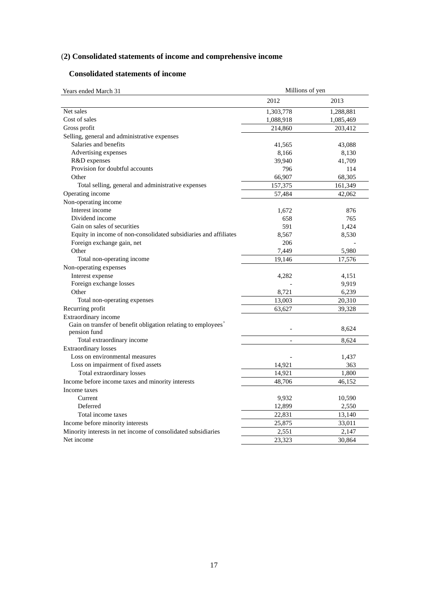# (**2) Consolidated statements of income and comprehensive income**

# **Consolidated statements of income**

| Years ended March 31                                                          | Millions of yen |           |
|-------------------------------------------------------------------------------|-----------------|-----------|
|                                                                               | 2012            | 2013      |
| Net sales                                                                     | 1,303,778       | 1,288,881 |
| Cost of sales                                                                 | 1,088,918       | 1,085,469 |
| Gross profit                                                                  | 214,860         | 203,412   |
| Selling, general and administrative expenses                                  |                 |           |
| Salaries and benefits                                                         | 41,565          | 43,088    |
| Advertising expenses                                                          | 8,166           | 8,130     |
| R&D expenses                                                                  | 39,940          | 41,709    |
| Provision for doubtful accounts                                               | 796             | 114       |
| Other                                                                         | 66,907          | 68,305    |
| Total selling, general and administrative expenses                            | 157,375         | 161,349   |
| Operating income                                                              | 57,484          | 42,062    |
| Non-operating income                                                          |                 |           |
| Interest income                                                               | 1,672           | 876       |
| Dividend income                                                               | 658             | 765       |
| Gain on sales of securities                                                   | 591             | 1,424     |
| Equity in income of non-consolidated subsidiaries and affiliates              | 8,567           | 8,530     |
| Foreign exchange gain, net                                                    | 206             |           |
| Other                                                                         | 7,449           | 5,980     |
| Total non-operating income                                                    | 19,146          | 17,576    |
| Non-operating expenses                                                        |                 |           |
| Interest expense                                                              | 4,282           | 4,151     |
| Foreign exchange losses                                                       |                 | 9,919     |
| Other                                                                         | 8,721           | 6,239     |
| Total non-operating expenses                                                  | 13,003          | 20,310    |
| Recurring profit                                                              | 63,627          | 39,328    |
| Extraordinary income                                                          |                 |           |
| Gain on transfer of benefit obligation relating to employees'<br>pension fund |                 | 8,624     |
| Total extraordinary income                                                    |                 | 8,624     |
| <b>Extraordinary losses</b>                                                   |                 |           |
| Loss on environmental measures                                                |                 | 1,437     |
| Loss on impairment of fixed assets                                            | 14,921          | 363       |
| Total extraordinary losses                                                    | 14,921          | 1,800     |
| Income before income taxes and minority interests                             | 48,706          | 46,152    |
| Income taxes                                                                  |                 |           |
| Current                                                                       | 9,932           | 10,590    |
| Deferred                                                                      | 12,899          | 2,550     |
| Total income taxes                                                            | 22,831          | 13,140    |
| Income before minority interests                                              | 25,875          | 33,011    |
| Minority interests in net income of consolidated subsidiaries                 | 2,551           | 2,147     |
| Net income                                                                    | 23,323          | 30,864    |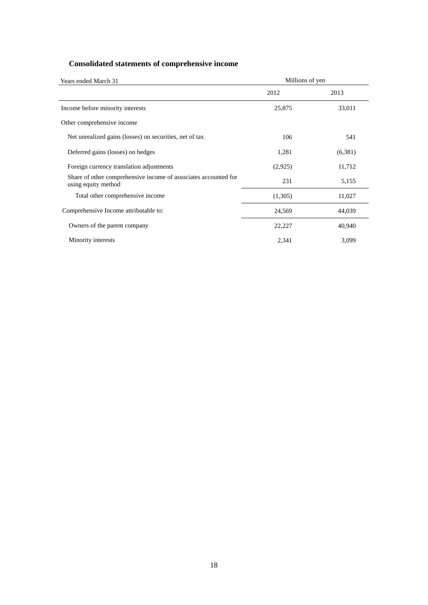# **Consolidated statements of comprehensive income**

| Years ended March 31                                                                   | Millions of yen |         |
|----------------------------------------------------------------------------------------|-----------------|---------|
|                                                                                        | 2012            | 2013    |
| Income before minority interests                                                       | 25,875          | 33,011  |
| Other comprehensive income                                                             |                 |         |
| Net unrealized gains (losses) on securities, net of tax                                | 106             | 541     |
| Deferred gains (losses) on hedges                                                      | 1,281           | (6,381) |
| Foreign currency translation adjustments                                               | (2,925)         | 11,712  |
| Share of other comprehensive income of associates accounted for<br>using equity method | 231             | 5,155   |
| Total other comprehensive income                                                       | (1,305)         | 11,027  |
| Comprehensive Income attributable to:                                                  | 24,569          | 44,039  |
| Owners of the parent company                                                           | 22,227          | 40,940  |
| Minority interests                                                                     | 2,341           | 3,099   |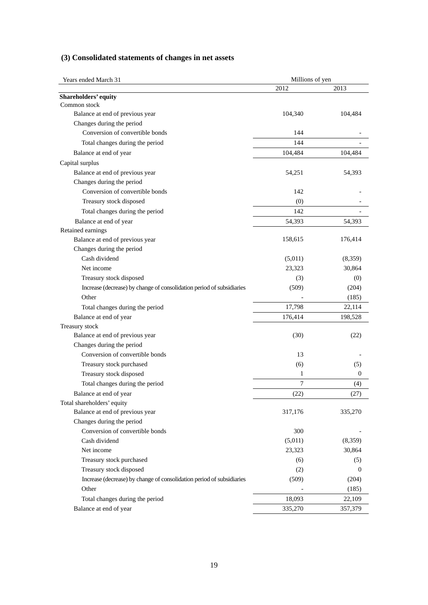|  | (3) Consolidated statements of changes in net assets |  |  |  |
|--|------------------------------------------------------|--|--|--|
|--|------------------------------------------------------|--|--|--|

| Years ended March 31                                                  | Millions of yen |                |  |
|-----------------------------------------------------------------------|-----------------|----------------|--|
|                                                                       | 2012            | 2013           |  |
| Shareholders' equity                                                  |                 |                |  |
| Common stock                                                          |                 |                |  |
| Balance at end of previous year                                       | 104,340         | 104,484        |  |
| Changes during the period                                             |                 |                |  |
| Conversion of convertible bonds                                       | 144             |                |  |
| Total changes during the period                                       | 144             |                |  |
| Balance at end of year                                                | 104,484         | 104,484        |  |
| Capital surplus                                                       |                 |                |  |
| Balance at end of previous year                                       | 54,251          | 54,393         |  |
| Changes during the period                                             |                 |                |  |
| Conversion of convertible bonds                                       | 142             |                |  |
| Treasury stock disposed                                               | (0)             |                |  |
| Total changes during the period                                       | 142             |                |  |
| Balance at end of year                                                | 54,393          | 54,393         |  |
| Retained earnings                                                     |                 |                |  |
| Balance at end of previous year                                       | 158,615         | 176,414        |  |
| Changes during the period                                             |                 |                |  |
| Cash dividend                                                         | (5,011)         | (8,359)        |  |
| Net income                                                            | 23,323          | 30,864         |  |
| Treasury stock disposed                                               | (3)             | (0)            |  |
| Increase (decrease) by change of consolidation period of subsidiaries | (509)           | (204)          |  |
| Other                                                                 |                 | (185)          |  |
| Total changes during the period                                       | 17,798          | 22,114         |  |
| Balance at end of year                                                | 176,414         | 198,528        |  |
| Treasury stock                                                        |                 |                |  |
| Balance at end of previous year                                       | (30)            | (22)           |  |
| Changes during the period                                             |                 |                |  |
| Conversion of convertible bonds                                       | 13              |                |  |
| Treasury stock purchased                                              | (6)             | (5)            |  |
| Treasury stock disposed                                               | 1               | $\mathbf 0$    |  |
| Total changes during the period                                       | 7               | (4)            |  |
| Balance at end of year                                                | (22)            | (27)           |  |
| Total shareholders' equity                                            |                 |                |  |
| Balance at end of previous year                                       | 317,176         | 335,270        |  |
| Changes during the period                                             |                 |                |  |
| Conversion of convertible bonds                                       | 300             |                |  |
| Cash dividend                                                         | (5,011)         | (8,359)        |  |
| Net income                                                            | 23,323          | 30,864         |  |
| Treasury stock purchased                                              | (6)             | (5)            |  |
| Treasury stock disposed                                               | (2)             | $\overline{0}$ |  |
| Increase (decrease) by change of consolidation period of subsidiaries | (509)           | (204)          |  |
| Other                                                                 |                 |                |  |
|                                                                       |                 | (185)          |  |
| Total changes during the period                                       | 18,093          | 22,109         |  |
| Balance at end of year                                                | 335,270         | 357,379        |  |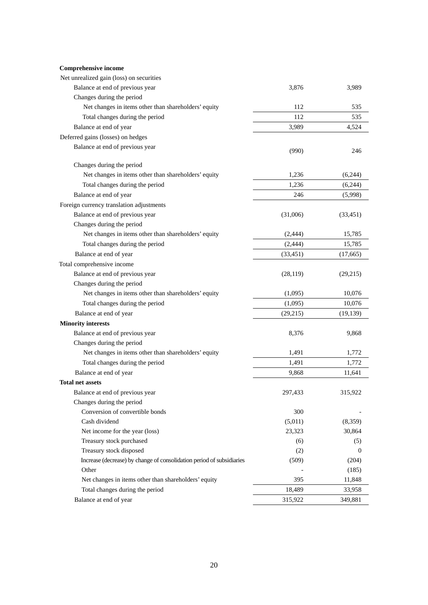#### **Comprehensive income Comprenensive income**<br>Net unrealized gain (loss) on securities

| Net unrealized gain (loss) on securities                              |           |              |
|-----------------------------------------------------------------------|-----------|--------------|
| Balance at end of previous year                                       | 3,876     | 3,989        |
| Changes during the period                                             |           |              |
| Net changes in items other than shareholders' equity                  | 112       | 535          |
| Total changes during the period                                       | 112       | 535          |
| Balance at end of year                                                | 3,989     | 4,524        |
| Deferred gains (losses) on hedges                                     |           |              |
| Balance at end of previous year                                       | (990)     | 246          |
| Changes during the period                                             |           |              |
| Net changes in items other than shareholders' equity                  | 1,236     | (6,244)      |
| Total changes during the period                                       | 1,236     | (6,244)      |
| Balance at end of year                                                | 246       | (5,998)      |
| Foreign currency translation adjustments                              |           |              |
| Balance at end of previous year                                       | (31,006)  | (33, 451)    |
| Changes during the period                                             |           |              |
| Net changes in items other than shareholders' equity                  | (2, 444)  | 15,785       |
| Total changes during the period                                       | (2, 444)  | 15,785       |
| Balance at end of year                                                |           |              |
|                                                                       | (33, 451) | (17,665)     |
| Total comprehensive income<br>Balance at end of previous year         |           |              |
|                                                                       | (28, 119) | (29,215)     |
| Changes during the period                                             |           |              |
| Net changes in items other than shareholders' equity                  | (1,095)   | 10,076       |
| Total changes during the period                                       | (1,095)   | 10,076       |
| Balance at end of year                                                | (29,215)  | (19, 139)    |
| <b>Minority interests</b>                                             |           |              |
| Balance at end of previous year                                       | 8,376     | 9,868        |
| Changes during the period                                             |           |              |
| Net changes in items other than shareholders' equity                  | 1,491     | 1,772        |
| Total changes during the period                                       | 1,491     | 1,772        |
| Balance at end of year                                                | 9,868     | 11,641       |
| <b>Total net assets</b>                                               |           |              |
| Balance at end of previous year                                       | 297,433   | 315,922      |
| Changes during the period                                             |           |              |
| Conversion of convertible bonds                                       | 300       |              |
| Cash dividend                                                         | (5,011)   | (8,359)      |
| Net income for the year (loss)                                        | 23,323    | 30,864       |
| Treasury stock purchased                                              | (6)       | (5)          |
| Treasury stock disposed                                               | (2)       | $\mathbf{0}$ |
| Increase (decrease) by change of consolidation period of subsidiaries | (509)     | (204)        |
| Other                                                                 |           | (185)        |
| Net changes in items other than shareholders' equity                  | 395       | 11,848       |
| Total changes during the period                                       | 18,489    | 33,958       |
| Balance at end of year                                                | 315,922   | 349,881      |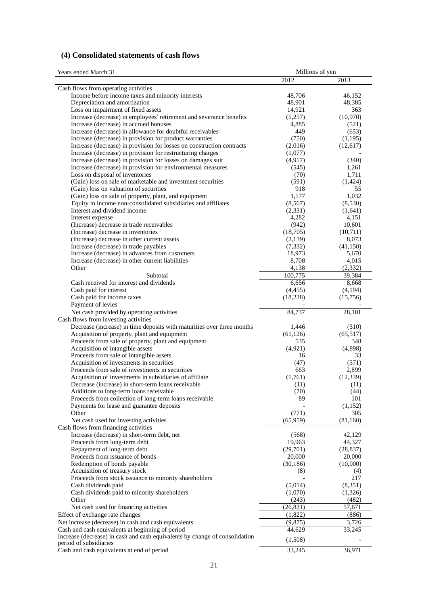# **(4) Consolidated statements of cash flows**

| Years ended March 31                                                                                                       | Millions of yen |                |
|----------------------------------------------------------------------------------------------------------------------------|-----------------|----------------|
|                                                                                                                            | 2012            | 2013           |
| Cash flows from operating activities                                                                                       |                 |                |
| Income before income taxes and minority interests                                                                          | 48,706          | 46,152         |
| Depreciation and amortization                                                                                              | 48,901          | 48,385         |
| Loss on impairment of fixed assets                                                                                         | 14,921          | 363            |
| Increase (decrease) in employees' retirement and severance benefits                                                        | (5,257)         | (10,970)       |
| Increase (decrease) in accrued bonuses                                                                                     | 4,885           | (521)          |
| Increase (decrease) in allowance for doubtful receivables                                                                  | 449             | (653)          |
| Increase (decrease) in provision for product warranties                                                                    | (750)           | (1,195)        |
| Increase (decrease) in provision for losses on construction contracts                                                      | (2,016)         | (12,617)       |
| Increase (decrease) in provision for restructuring charges                                                                 | (1,077)         |                |
| Increase (decrease) in provision for losses on damages suit<br>Increase (decrease) in provision for environmental measures | (4,957)         | (340)          |
| Loss on disposal of inventories                                                                                            | (545)<br>(70)   | 1,261<br>1,711 |
| (Gain) loss on sale of marketable and investment securities                                                                | (591)           | (1,424)        |
| (Gain) loss on valuation of securities                                                                                     | 918             | 55             |
| (Gain) loss on sale of property, plant, and equipment                                                                      | 1,177           | 1,032          |
| Equity in income non-consolidated subsidiaries and affiliates                                                              | (8, 567)        | (8,530)        |
| Interest and dividend income                                                                                               | (2, 331)        | (1,641)        |
| Interest expense                                                                                                           | 4,282           | 4,151          |
| (Increase) decrease in trade receivables                                                                                   | (942)           | 10,601         |
| (Increase) decrease in inventories                                                                                         | (18,705)        | (10,711)       |
| (Increase) decrease in other current assets                                                                                | (2,139)         | 8,073          |
| Increase (decrease) in trade payables                                                                                      | (7, 332)        | (41, 150)      |
| Increase (decrease) in advances from customers                                                                             | 18,973          | 5,670          |
| Increase (decrease) in other current liabilities                                                                           | 8,708           | 4,015          |
| Other                                                                                                                      | 4,138           | (2, 332)       |
| Subtotal                                                                                                                   | 100,775         | 39,384         |
| Cash received for interest and dividends                                                                                   | 6,656           | 8,668          |
| Cash paid for interest                                                                                                     | (4, 455)        | (4,194)        |
| Cash paid for income taxes                                                                                                 | (18, 238)       | (15,756)       |
| Payment of levies                                                                                                          | 84,737          | 28,101         |
| Net cash provided by operating activities<br>Cash flows from investing activities                                          |                 |                |
| Decrease (increase) in time deposits with maturities over three months                                                     | 1,446           | (310)          |
| Acquisition of property, plant and equipment                                                                               | (61, 126)       | (65, 517)      |
| Proceeds from sale of property, plant and equipment                                                                        | 535             | 348            |
| Acquisition of intangible assets                                                                                           | (4,921)         | (4,898)        |
| Proceeds from sale of intangible assets                                                                                    | 16              | 33             |
| Acquisition of investments in securities                                                                                   | (47)            | (571)          |
| Proceeds from sale of investments in securities                                                                            | 663             | 2,899          |
| Acquisition of investments in subsidiaries of affiliate                                                                    | (1,761)         | (12, 339)      |
| Decrease (increase) in short-term loans receivable                                                                         | (11)            | (11)           |
| Additions to long-term loans receivable                                                                                    | (70)            | (44)           |
| Proceeds from collection of long-term loans receivable                                                                     | 89              | 101            |
| Payments for lease and guarantee deposits                                                                                  |                 | (1,152)        |
| Other                                                                                                                      | (771)           | 305            |
| Net cash used for investing activities                                                                                     | (65,959)        | (81,160)       |
| Cash flows from financing activities<br>Increase (decrease) in short-term debt, net                                        | (568)           | 42,129         |
| Proceeds from long-term debt                                                                                               | 19,963          | 44,327         |
| Repayment of long-term debt                                                                                                | (29,701)        | (28, 837)      |
| Proceeds from issuance of bonds                                                                                            | 20,000          | 20,000         |
| Redemption of bonds payable                                                                                                | (30, 186)       | (10,000)       |
| Acquisition of treasury stock                                                                                              | (8)             | (4)            |
| Proceeds from stock issuance to minority shareholders                                                                      |                 | 217            |
| Cash dividends paid                                                                                                        | (5,014)         | (8,351)        |
| Cash dividends paid to minority shareholders                                                                               | (1,070)         | (1,326)        |
| Other                                                                                                                      | (243)           | (482)          |
| Net cash used for financing activities                                                                                     | (26, 831)       | 57,671         |
| Effect of exchange rate changes                                                                                            | (1,822)         | (886)          |
| Net increase (decrease) in cash and cash equivalents                                                                       | (9,875)         | 3,726          |
| Cash and cash equivalents at beginning of period                                                                           | 44,629          | 33,245         |
| Increase (decrease) in cash and cash equivalents by change of consolidation                                                | (1,508)         |                |
| period of subsidiaries<br>Cash and cash equivalents at end of period                                                       | 33,245          | 36,971         |
|                                                                                                                            |                 |                |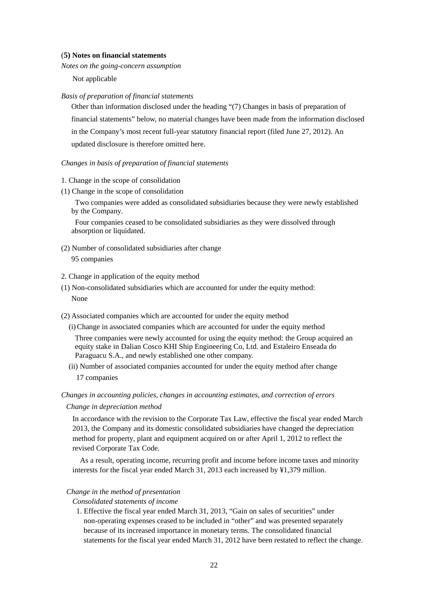### (**5) Notes on financial statements**

*Notes on the going-concern assumption* 

Not applicable

### *Basis of preparation of financial statements*

Other than information disclosed under the heading "(7) Changes in basis of preparation of financial statements" below, no material changes have been made from the information disclosed in the Company's most recent full-year statutory financial report (filed June 27, 2012). An updated disclosure is therefore omitted here.

### *Changes in basis of preparation of financial statements*

- 1. Change in the scope of consolidation
- (1) Change in the scope of consolidation

Two companies were added as consolidated subsidiaries because they were newly established by the Company.

Four companies ceased to be consolidated subsidiaries as they were dissolved through absorption or liquidated.

(2) Number of consolidated subsidiaries after change

95 companies

- 2. Change in application of the equity method
- (1) Non-consolidated subsidiaries which are accounted for under the equity method: None
- (2) Associated companies which are accounted for under the equity method
	- (i) Change in associated companies which are accounted for under the equity method Three companies were newly accounted for using the equity method: the Group acquired an equity stake in Dalian Cosco KHI Ship Engineering Co, Ltd. and Estaleiro Enseada do Paraguacu S.A., and newly established one other company.
	- (ii) Number of associated companies accounted for under the equity method after change 17 companies

### *Changes in accounting policies, changes in accounting estimates, and correction of errors*

*Change in depreciation method* 

In accordance with the revision to the Corporate Tax Law, effective the fiscal year ended March 2013, the Company and its domestic consolidated subsidiaries have changed the depreciation method for property, plant and equipment acquired on or after April 1, 2012 to reflect the revised Corporate Tax Code.

As a result, operating income, recurring profit and income before income taxes and minority interests for the fiscal year ended March 31, 2013 each increased by ¥1,379 million.

# *Change in the method of presentation*

*Consolidated statements of income* 

1. Effective the fiscal year ended March 31, 2013, "Gain on sales of securities" under non-operating expenses ceased to be included in "other" and was presented separately because of its increased importance in monetary terms. The consolidated financial statements for the fiscal year ended March 31, 2012 have been restated to reflect the change.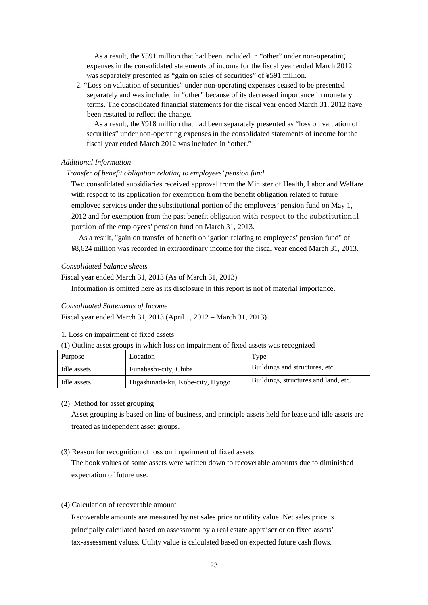As a result, the ¥591 million that had been included in "other" under non-operating expenses in the consolidated statements of income for the fiscal year ended March 2012 was separately presented as "gain on sales of securities" of ¥591 million.

2. "Loss on valuation of securities" under non-operating expenses ceased to be presented separately and was included in "other" because of its decreased importance in monetary terms. The consolidated financial statements for the fiscal year ended March 31, 2012 have been restated to reflect the change.

As a result, the ¥918 million that had been separately presented as "loss on valuation of securities" under non-operating expenses in the consolidated statements of income for the fiscal year ended March 2012 was included in "other."

### *Additional Information*

### *Transfer of benefit obligation relating to employees' pension fund*

Two consolidated subsidiaries received approval from the Minister of Health, Labor and Welfare with respect to its application for exemption from the benefit obligation related to future employee services under the substitutional portion of the employees' pension fund on May 1, 2012 and for exemption from the past benefit obligation with respect to the substitutional portion of the employees' pension fund on March 31, 2013.

As a result, "gain on transfer of benefit obligation relating to employees' pension fund" of ¥8,624 million was recorded in extraordinary income for the fiscal year ended March 31, 2013.

### *Consolidated balance sheets*

Fiscal year ended March 31, 2013 (As of March 31, 2013)

Information is omitted here as its disclosure in this report is not of material importance.

### *Consolidated Statements of Income*

Fiscal year ended March 31, 2013 (April 1, 2012 – March 31, 2013)

1. Loss on impairment of fixed assets

(1) Outline asset groups in which loss on impairment of fixed assets was recognized

| Purpose     | Location                         | Type                                 |
|-------------|----------------------------------|--------------------------------------|
| Idle assets | Funabashi-city, Chiba            | Buildings and structures, etc.       |
| Idle assets | Higashinada-ku, Kobe-city, Hyogo | Buildings, structures and land, etc. |

### (2) Method for asset grouping

Asset grouping is based on line of business, and principle assets held for lease and idle assets are treated as independent asset groups.

### (3) Reason for recognition of loss on impairment of fixed assets

The book values of some assets were written down to recoverable amounts due to diminished expectation of future use.

### (4) Calculation of recoverable amount

Recoverable amounts are measured by net sales price or utility value. Net sales price is principally calculated based on assessment by a real estate appraiser or on fixed assets' tax-assessment values. Utility value is calculated based on expected future cash flows.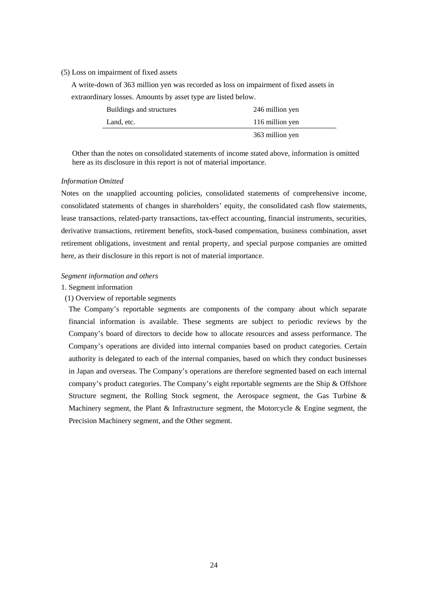### (5) Loss on impairment of fixed assets

A write-down of 363 million yen was recorded as loss on impairment of fixed assets in extraordinary losses. Amounts by asset type are listed below.

| Buildings and structures | 246 million yen |
|--------------------------|-----------------|
| Land, etc.               | 116 million yen |
|                          | 363 million yen |

Other than the notes on consolidated statements of income stated above, information is omitted here as its disclosure in this report is not of material importance.

#### *Information Omitted*

Notes on the unapplied accounting policies, consolidated statements of comprehensive income, consolidated statements of changes in shareholders' equity, the consolidated cash flow statements, lease transactions, related-party transactions, tax-effect accounting, financial instruments, securities, derivative transactions, retirement benefits, stock-based compensation, business combination, asset retirement obligations, investment and rental property, and special purpose companies are omitted here, as their disclosure in this report is not of material importance.

#### *Segment information and others*

### 1. Segment information

### (1) Overview of reportable segments

The Company's reportable segments are components of the company about which separate financial information is available. These segments are subject to periodic reviews by the Company's board of directors to decide how to allocate resources and assess performance. The Company's operations are divided into internal companies based on product categories. Certain authority is delegated to each of the internal companies, based on which they conduct businesses in Japan and overseas. The Company's operations are therefore segmented based on each internal company's product categories. The Company's eight reportable segments are the Ship & Offshore Structure segment, the Rolling Stock segment, the Aerospace segment, the Gas Turbine & Machinery segment, the Plant  $\&$  Infrastructure segment, the Motorcycle  $\&$  Engine segment, the Precision Machinery segment, and the Other segment.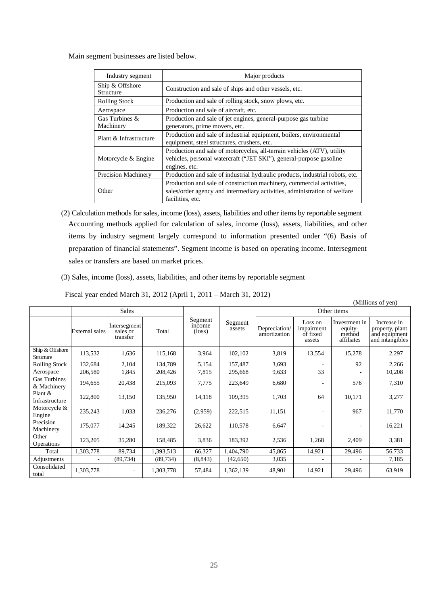Main segment businesses are listed below.

| Industry segment             | Major products                                                                                                                                                         |
|------------------------------|------------------------------------------------------------------------------------------------------------------------------------------------------------------------|
| Ship & Offshore<br>Structure | Construction and sale of ships and other vessels, etc.                                                                                                                 |
| <b>Rolling Stock</b>         | Production and sale of rolling stock, snow plows, etc.                                                                                                                 |
| Aerospace                    | Production and sale of aircraft, etc.                                                                                                                                  |
| Gas Turbines &<br>Machinery  | Production and sale of jet engines, general-purpose gas turbine<br>generators, prime movers, etc.                                                                      |
| Plant & Infrastructure       | Production and sale of industrial equipment, boilers, environmental<br>equipment, steel structures, crushers, etc.                                                     |
| Motorcycle & Engine          | Production and sale of motorcycles, all-terrain vehicles (ATV), utility<br>vehicles, personal watercraft ("JET SKI"), general-purpose gasoline<br>engines, etc.        |
| <b>Precision Machinery</b>   | Production and sale of industrial hydraulic products, industrial robots, etc.                                                                                          |
| Other                        | Production and sale of construction machinery, commercial activities,<br>sales/order agency and intermediary activities, administration of welfare<br>facilities, etc. |

(2) Calculation methods for sales, income (loss), assets, liabilities and other items by reportable segment Accounting methods applied for calculation of sales, income (loss), assets, liabilities, and other items by industry segment largely correspond to information presented under "(6) Basis of preparation of financial statements". Segment income is based on operating income. Intersegment sales or transfers are based on market prices.

(3) Sales, income (loss), assets, liabilities, and other items by reportable segment

Fiscal year ended March 31, 2012 (April 1, 2011 – March 31, 2012)

|                                    |                       |                                      |           |                                      |                   |                               |                                             |                                                  | (Millions of yen)                                                  |
|------------------------------------|-----------------------|--------------------------------------|-----------|--------------------------------------|-------------------|-------------------------------|---------------------------------------------|--------------------------------------------------|--------------------------------------------------------------------|
|                                    |                       | <b>Sales</b>                         |           |                                      |                   | Other items                   |                                             |                                                  |                                                                    |
|                                    | <b>External</b> sales | Intersegment<br>sales or<br>transfer | Total     | Segment<br>income<br>$(\text{loss})$ | Segment<br>assets | Depreciation/<br>amortization | Loss on<br>impairment<br>of fixed<br>assets | Investment in<br>equity-<br>method<br>affiliates | Increase in<br>property, plant<br>and equipment<br>and intangibles |
| Ship & Offshore<br>Structure       | 113,532               | 1,636                                | 115,168   | 3,964                                | 102,102           | 3,819                         | 13,554                                      | 15,278                                           | 2,297                                                              |
| <b>Rolling Stock</b>               | 132,684               | 2,104                                | 134,789   | 5,154                                | 157,487           | 3,693                         |                                             | 92                                               | 2,266                                                              |
| Aerospace                          | 206,580               | 1,845                                | 208,426   | 7,815                                | 295,668           | 9,633                         | 33                                          |                                                  | 10,208                                                             |
| <b>Gas Turbines</b><br>& Machinery | 194,655               | 20,438                               | 215,093   | 7,775                                | 223,649           | 6,680                         |                                             | 576                                              | 7,310                                                              |
| Plant &<br>Infrastructure          | 122,800               | 13,150                               | 135,950   | 14,118                               | 109,395           | 1,703                         | 64                                          | 10,171                                           | 3,277                                                              |
| Motorcycle &<br>Engine             | 235,243               | 1,033                                | 236,276   | (2,959)                              | 222,515           | 11,151                        |                                             | 967                                              | 11,770                                                             |
| Precision<br>Machinery             | 175,077               | 14,245                               | 189,322   | 26,622                               | 110,578           | 6,647                         |                                             |                                                  | 16,221                                                             |
| Other<br>Operations                | 123,205               | 35,280                               | 158,485   | 3,836                                | 183,392           | 2,536                         | 1,268                                       | 2,409                                            | 3,381                                                              |
| Total                              | 1,303,778             | 89,734                               | 1,393,513 | 66,327                               | 1,404,790         | 45,865                        | 14,921                                      | 29,496                                           | 56,733                                                             |
| Adjustments                        |                       | (89, 734)                            | (89, 734) | (8, 843)                             | (42,650)          | 3,035                         |                                             |                                                  | 7,185                                                              |
| Consolidated<br>total              | 1,303,778             | $\overline{\phantom{m}}$             | 1,303,778 | 57,484                               | 1,362,139         | 48,901                        | 14,921                                      | 29,496                                           | 63,919                                                             |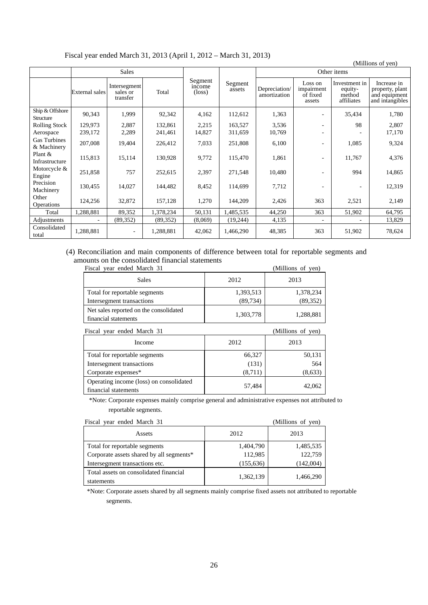Fiscal year ended March 31, 2013 (April 1, 2012 – March 31, 2013)

|                                    |                |                                      |           |                                      |                   |                               |                                             |                                                  | (Millions of yen)                                                  |
|------------------------------------|----------------|--------------------------------------|-----------|--------------------------------------|-------------------|-------------------------------|---------------------------------------------|--------------------------------------------------|--------------------------------------------------------------------|
|                                    |                | <b>Sales</b>                         |           |                                      |                   |                               |                                             | Other items                                      |                                                                    |
|                                    | External sales | Intersegment<br>sales or<br>transfer | Total     | Segment<br>income<br>$(\text{loss})$ | Segment<br>assets | Depreciation/<br>amortization | Loss on<br>impairment<br>of fixed<br>assets | Investment in<br>equity-<br>method<br>affiliates | Increase in<br>property, plant<br>and equipment<br>and intangibles |
| Ship & Offshore<br>Structure       | 90,343         | 1,999                                | 92,342    | 4,162                                | 112,612           | 1,363                         |                                             | 35,434                                           | 1,780                                                              |
| <b>Rolling Stock</b>               | 129,973        | 2,887                                | 132,861   | 2,215                                | 163,527           | 3,536                         | $\overline{\phantom{a}}$                    | 98                                               | 2,807                                                              |
| Aerospace                          | 239,172        | 2,289                                | 241,461   | 14,827                               | 311,659           | 10,769                        | ٠                                           |                                                  | 17,170                                                             |
| <b>Gas Turbines</b><br>& Machinery | 207,008        | 19,404                               | 226,412   | 7,033                                | 251,808           | 6,100                         |                                             | 1,085                                            | 9,324                                                              |
| Plant &<br>Infrastructure          | 115,813        | 15,114                               | 130,928   | 9,772                                | 115,470           | 1,861                         |                                             | 11,767                                           | 4,376                                                              |
| Motorcycle &<br>Engine             | 251,858        | 757                                  | 252,615   | 2,397                                | 271,548           | 10,480                        |                                             | 994                                              | 14,865                                                             |
| Precision<br>Machinery             | 130,455        | 14,027                               | 144,482   | 8,452                                | 114,699           | 7,712                         |                                             |                                                  | 12,319                                                             |
| Other<br>Operations                | 124,256        | 32,872                               | 157,128   | 1,270                                | 144,209           | 2,426                         | 363                                         | 2,521                                            | 2,149                                                              |
| Total                              | 1,288,881      | 89,352                               | 1,378,234 | 50,131                               | 1,485,535         | 44,250                        | 363                                         | 51,902                                           | 64,795                                                             |
| Adjustments                        |                | (89, 352)                            | (89, 352) | (8,069)                              | (19,244)          | 4,135                         |                                             |                                                  | 13,829                                                             |
| Consolidated<br>total              | 1,288,881      | $\overline{\phantom{a}}$             | 1,288,881 | 42,062                               | 1,466,290         | 48,385                        | 363                                         | 51,902                                           | 78,624                                                             |

# (4) Reconciliation and main components of difference between total for reportable segments and amounts on the consolidated financial statements

| Fiscal year ended March 31                                      |           | (Millions of yen) |
|-----------------------------------------------------------------|-----------|-------------------|
| <b>Sales</b>                                                    | 2012      | 2013              |
| Total for reportable segments                                   | 1,393,513 | 1,378,234         |
| Intersegment transactions                                       | (89, 734) | (89, 352)         |
| Net sales reported on the consolidated<br>financial statements  | 1,303,778 | 1,288,881         |
| Fiscal year ended March 31                                      |           | (Millions of yen) |
| Income                                                          | 2012      | 2013              |
| Total for reportable segments                                   | 66,327    | 50,131            |
| Intersegment transactions                                       | (131)     | 564               |
| Corporate expenses*                                             | (8,711)   | (8,633)           |
| Operating income (loss) on consolidated<br>financial statements | 57,484    | 42,062            |

\*Note: Corporate expenses mainly comprise general and administrative expenses not attributed to reportable segments.

| Fiscal year ended March 31                           |            | (Millions of yen) |
|------------------------------------------------------|------------|-------------------|
| Assets                                               | 2012       | 2013              |
| Total for reportable segments                        | 1,404,790  | 1,485,535         |
| Corporate assets shared by all segments*             | 112,985    | 122,759           |
| Intersegment transactions etc.                       | (155, 636) | (142,004)         |
| Total assets on consolidated financial<br>statements | 1,362,139  | 1,466,290         |

\*Note: Corporate assets shared by all segments mainly comprise fixed assets not attributed to reportable segments.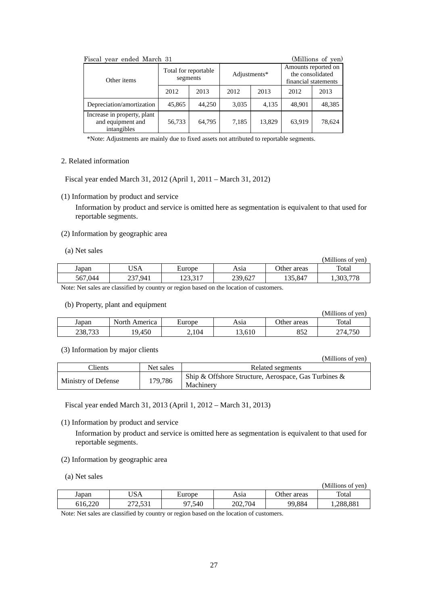| (Millions of yen)<br>Fiscal year ended March 31                 |                                  |        |              |        |                                                                 |        |
|-----------------------------------------------------------------|----------------------------------|--------|--------------|--------|-----------------------------------------------------------------|--------|
| Other items                                                     | Total for reportable<br>segments |        | Adjustments* |        | Amounts reported on<br>the consolidated<br>financial statements |        |
|                                                                 | 2012                             | 2013   | 2012         | 2013   | 2012                                                            | 2013   |
| Depreciation/amortization                                       | 45,865                           | 44,250 | 3,035        | 4,135  | 48,901                                                          | 48,385 |
| Increase in property, plant<br>and equipment and<br>intangibles | 56,733                           | 64,795 | 7,185        | 13,829 | 63,919                                                          | 78,624 |

\*Note: Adjustments are mainly due to fixed assets not attributed to reportable segments.

## 2. Related information

Fiscal year ended March 31, 2012 (April 1, 2011 – March 31, 2012)

(1) Information by product and service

Information by product and service is omitted here as segmentation is equivalent to that used for reportable segments.

### (2) Information by geographic area

### (a) Net sales

|         |         |              |         |             | (Millions of yen) |
|---------|---------|--------------|---------|-------------|-------------------|
| Japan   | USA     | Europe       | Asıa    | Other areas | Total             |
| 567,044 | 237,941 | 172.217<br>. | 239,627 | 135,847     | .303,778          |

Note: Net sales are classified by country or region based on the location of customers.

# (b) Property, plant and equipment

|         |               |        |        |             | (Millions of ven) |
|---------|---------------|--------|--------|-------------|-------------------|
| Japan   | North America | Europe | Asıa   | Other areas | Total             |
| 238,733 | 19,450        | 2,104  | 13,610 | 852         | 274.750           |

### (3) Information by major clients

|                     |           | ,,,,,,,,,,,,,,,,,,,,,,,                                              |
|---------------------|-----------|----------------------------------------------------------------------|
| Clients             | Net sales | Related segments                                                     |
| Ministry of Defense | 179,786   | Ship & Offshore Structure, Aerospace, Gas Turbines $\&$<br>Machinery |

 $(M<sub>i</sub>)$ lions of yen)

Fiscal year ended March 31, 2013 (April 1, 2012 – March 31, 2013)

# (1) Information by product and service

Information by product and service is omitted here as segmentation is equivalent to that used for reportable segments.

- (2) Information by geographic area
- (a) Net sales

|         |                    |               |         |             | (Millions of ven) |
|---------|--------------------|---------------|---------|-------------|-------------------|
| Japan   | JSA                | <b>Europe</b> | Asıa    | Other areas | Total             |
| 616.220 | וכא רדר<br>212.331 | 7.540<br>07   | 202,704 | 99,884      | .288,881          |

Note: Net sales are classified by country or region based on the location of customers.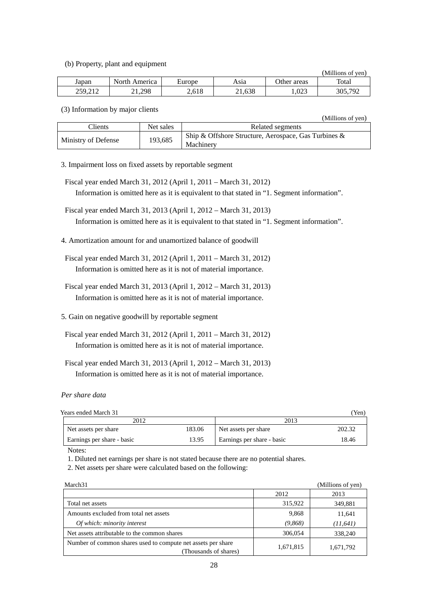### (b) Property, plant and equipment

| .       |               |        |        |             | (Millions of ven) |
|---------|---------------|--------|--------|-------------|-------------------|
| Japan   | North America | Europe | Asia   | Other areas | Total             |
| 259.212 | 21.298        | 2,618  | 21,638 | .023        | 305,792           |

(3) Information by major clients

|                     |           | (Millions of yen)                                                 |
|---------------------|-----------|-------------------------------------------------------------------|
| $C$ lients          | Net sales | Related segments                                                  |
| Ministry of Defense | 193,685   | Ship & Offshore Structure, Aerospace, Gas Turbines &<br>Machinery |

3. Impairment loss on fixed assets by reportable segment

Fiscal year ended March 31, 2012 (April 1, 2011 – March 31, 2012) Information is omitted here as it is equivalent to that stated in "1. Segment information".

- Fiscal year ended March 31, 2013 (April 1, 2012 March 31, 2013) Information is omitted here as it is equivalent to that stated in "1. Segment information".
- 4. Amortization amount for and unamortized balance of goodwill
- Fiscal year ended March 31, 2012 (April 1, 2011 March 31, 2012) Information is omitted here as it is not of material importance.
- Fiscal year ended March 31, 2013 (April 1, 2012 March 31, 2013) Information is omitted here as it is not of material importance.
- 5. Gain on negative goodwill by reportable segment
- Fiscal year ended March 31, 2012 (April 1, 2011 March 31, 2012) Information is omitted here as it is not of material importance.

Fiscal year ended March 31, 2013 (April 1, 2012 – March 31, 2013) Information is omitted here as it is not of material importance.

*Per share data* 

| $ -$<br>Years ended<br>March<br>- 21<br>$\sim$ | Von<br>$1 \cup 11'$<br>____ |  |  |
|------------------------------------------------|-----------------------------|--|--|
| 2012                                           | າດ12                        |  |  |

| 2012                       |        | 2013                       |        |  |
|----------------------------|--------|----------------------------|--------|--|
| Net assets per share       | 183.06 | Net assets per share       | 202.32 |  |
| Earnings per share - basic | 13.95  | Earnings per share - basic | 18.46  |  |

Notes:

1. Diluted net earnings per share is not stated because there are no potential shares.

2. Net assets per share were calculated based on the following:

| March <sub>31</sub>                                                                  |           | (Millions of yen) |
|--------------------------------------------------------------------------------------|-----------|-------------------|
|                                                                                      | 2012      | 2013              |
| Total net assets                                                                     | 315,922   | 349,881           |
| Amounts excluded from total net assets                                               | 9,868     | 11,641            |
| Of which: minority interest                                                          | (9,868)   | (11, 641)         |
| Net assets attributable to the common shares                                         | 306,054   | 338,240           |
| Number of common shares used to compute net assets per share<br>Thousands of shares) | 1,671,815 | 1,671,792         |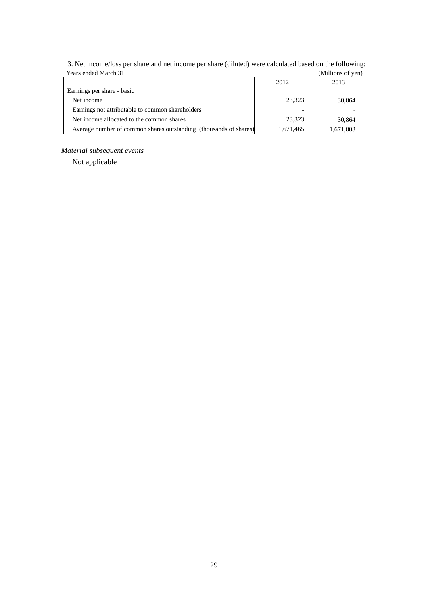| Teals chucu ivialuit 91                                           |           | типпону от уен |
|-------------------------------------------------------------------|-----------|----------------|
|                                                                   | 2012      | 2013           |
| Earnings per share - basic                                        |           |                |
| Net income                                                        | 23.323    | 30,864         |
| Earnings not attributable to common shareholders                  |           |                |
| Net income allocated to the common shares                         | 23.323    | 30,864         |
| Average number of common shares outstanding (thousands of shares) | 1,671,465 | 1,671,803      |

3. Net income/loss per share and net income per share (diluted) were calculated based on the following: Years ended March 31 (Millions of yen)

# *Material subsequent events*

Not applicable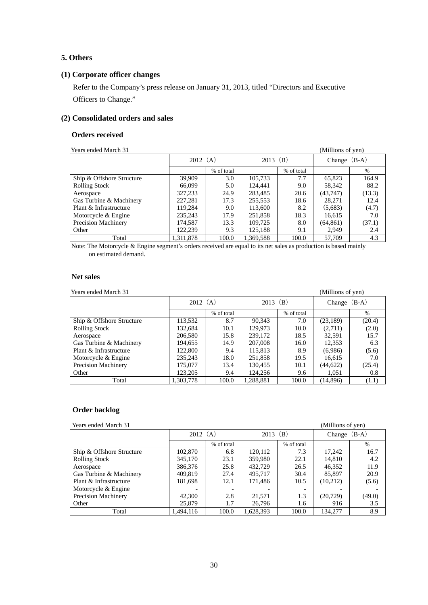# **5. Others**

# **(1) Corporate officer changes**

Refer to the Company's press release on January 31, 2013, titled "Directors and Executive Officers to Change."

# **(2) Consolidated orders and sales**

### **Orders received**

| Years ended March 31      |           |            |           |            | (Millions of yen) |        |
|---------------------------|-----------|------------|-----------|------------|-------------------|--------|
|                           | 2012(A)   |            | 2013 (B)  |            | Change $(B-A)$    |        |
|                           |           | % of total |           | % of total |                   | $\%$   |
| Ship & Offshore Structure | 39,909    | 3.0        | 105,733   | 7.7        | 65,823            | 164.9  |
| <b>Rolling Stock</b>      | 66,099    | 5.0        | 124.441   | 9.0        | 58,342            | 88.2   |
| Aerospace                 | 327,233   | 24.9       | 283,485   | 20.6       | (43,747)          | (13.3) |
| Gas Turbine & Machinery   | 227,281   | 17.3       | 255,553   | 18.6       | 28,271            | 12.4   |
| Plant & Infrastructure    | 119.284   | 9.0        | 113,600   | 8.2        | (5,683)           | (4.7)  |
| Motorcycle & Engine       | 235,243   | 17.9       | 251,858   | 18.3       | 16,615            | 7.0    |
| Precision Machinery       | 174,587   | 13.3       | 109,725   | 8.0        | (64, 861)         | (37.1) |
| Other                     | 122.239   | 9.3        | 125,188   | 9.1        | 2.949             | 2.4    |
| Total                     | 1,311,878 | 100.0      | 1,369,588 | 100.0      | 57,709            | 4.3    |

Note: The Motorcycle & Engine segment's orders received are equal to its net sales as production is based mainly on estimated demand.

# **Net sales**

Years ended March 31 (Millions of yen)

| Tears ended interest 51   | $\mu$     |            |            |            |                |        |
|---------------------------|-----------|------------|------------|------------|----------------|--------|
|                           | 2012(A)   |            | $2013$ (B) |            | Change $(B-A)$ |        |
|                           |           | % of total |            | % of total |                | $\%$   |
| Ship & Offshore Structure | 113,532   | 8.7        | 90,343     | 7.0        | (23, 189)      | (20.4) |
| <b>Rolling Stock</b>      | 132.684   | 10.1       | 129,973    | 10.0       | (2,711)        | (2.0)  |
| Aerospace                 | 206,580   | 15.8       | 239,172    | 18.5       | 32,591         | 15.7   |
| Gas Turbine & Machinery   | 194,655   | 14.9       | 207,008    | 16.0       | 12,353         | 6.3    |
| Plant & Infrastructure    | 122,800   | 9.4        | 115,813    | 8.9        | (6,986)        | (5.6)  |
| Motorcycle & Engine       | 235,243   | 18.0       | 251,858    | 19.5       | 16,615         | 7.0    |
| Precision Machinery       | 175,077   | 13.4       | 130,455    | 10.1       | (44, 622)      | (25.4) |
| Other                     | 123,205   | 9.4        | 124,256    | 9.6        | 1,051          | 0.8    |
| Total                     | 1,303,778 | 100.0      | 1,288,881  | 100.0      | (14, 896)      | (1.1)  |

# **Order backlog**

**Presented March 31** (Millions of yen)

|                           | 2012(A)   |                          | 2013 $(B)$ |            | $(B-A)$<br>Change |        |
|---------------------------|-----------|--------------------------|------------|------------|-------------------|--------|
|                           |           | % of total               |            | % of total |                   | $\%$   |
| Ship & Offshore Structure | 102,870   | 6.8                      | 120,112    | 7.3        | 17,242            | 16.7   |
| <b>Rolling Stock</b>      | 345,170   | 23.1                     | 359,980    | 22.1       | 14,810            | 4.2    |
| Aerospace                 | 386,376   | 25.8                     | 432,729    | 26.5       | 46,352            | 11.9   |
| Gas Turbine & Machinery   | 409.819   | 27.4                     | 495.717    | 30.4       | 85,897            | 20.9   |
| Plant & Infrastructure    | 181,698   | 12.1                     | 171.486    | 10.5       | (10,212)          | (5.6)  |
| Motorcycle & Engine       |           | $\overline{\phantom{a}}$ |            |            |                   |        |
| Precision Machinery       | 42,300    | 2.8                      | 21,571     | 1.3        | (20, 729)         | (49.0) |
| Other                     | 25,879    | 1.7                      | 26,796     | 1.6        | 916               | 3.5    |
| Total                     | 1.494.116 | 100.0                    | 1,628,393  | 100.0      | 134,277           | 8.9    |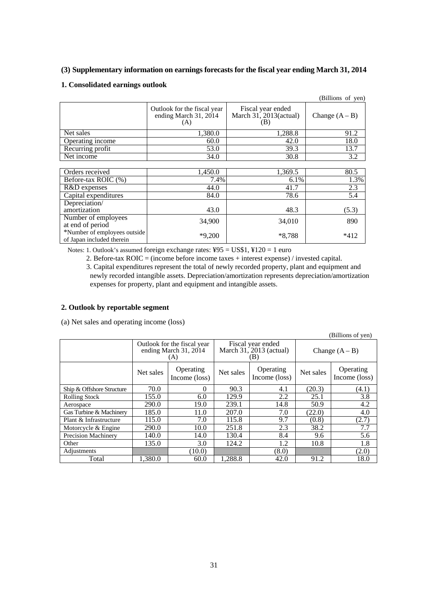# **(3) Supplementary information on earnings forecasts for the fiscal year ending March 31, 2014**

# **1. Consolidated earnings outlook**

|                                                           |                                                             |                                                    | (Billions of yen) |
|-----------------------------------------------------------|-------------------------------------------------------------|----------------------------------------------------|-------------------|
|                                                           | Outlook for the fiscal year<br>ending March 31, 2014<br>(A) | Fiscal year ended<br>March 31, 2013(actual)<br>(B) | Change $(A - B)$  |
| Net sales                                                 | 1,380.0                                                     | 1,288.8                                            | 91.2              |
| Operating income                                          | 60.0                                                        | 42.0                                               | 18.0              |
| Recurring profit                                          | 53.0                                                        | 39.3                                               | 13.7              |
| Net income                                                | 34.0                                                        | 30.8                                               | 3.2               |
|                                                           |                                                             |                                                    |                   |
| Orders received                                           | 1,450.0                                                     | 1,369.5                                            | 80.5              |
| Before-tax ROIC (%)                                       | 7.4%                                                        | 6.1%                                               | 1.3%              |
| R&D expenses                                              | 44.0                                                        | 41.7                                               | 2.3               |
| Capital expenditures                                      | 84.0                                                        | 78.6                                               | 5.4               |
| Depreciation/                                             |                                                             |                                                    |                   |
| amortization                                              | 43.0                                                        | 48.3                                               | (5.3)             |
| Number of employees<br>at end of period                   | 34,900                                                      | 34,010                                             | 890               |
| *Number of employees outside<br>of Japan included therein | $*9,200$                                                    | $*8,788$                                           | $*412$            |

Notes: 1. Outlook's assumed foreign exchange rates: ¥95 = US\$1, ¥120 = 1 euro

2. Before-tax ROIC = (income before income taxes + interest expense) / invested capital. 3. Capital expenditures represent the total of newly recorded property, plant and equipment and newly recorded intangible assets. Depreciation/amortization represents depreciation/amortization expenses for property, plant and equipment and intangible assets.

# **2. Outlook by reportable segment**

(a) Net sales and operating income (loss)

|                            |           |                                                             |                                                       |                            |                  | Billions of yen)           |
|----------------------------|-----------|-------------------------------------------------------------|-------------------------------------------------------|----------------------------|------------------|----------------------------|
|                            |           | Outlook for the fiscal year<br>ending March 31, 2014<br>(A) | Fiscal year ended<br>March $31, 2013$ (actual)<br>(B) |                            | Change $(A - B)$ |                            |
|                            | Net sales | Operating<br>Income (loss)                                  | Net sales                                             | Operating<br>Income (loss) | Net sales        | Operating<br>Income (loss) |
| Ship & Offshore Structure  | 70.0      | 0                                                           | 90.3                                                  | 4.1                        | (20.3)           | (4.1)                      |
| <b>Rolling Stock</b>       | 155.0     | 6.0                                                         | 129.9                                                 | 2.2                        | 25.1             | 3.8                        |
| Aerospace                  | 290.0     | 19.0                                                        | 239.1                                                 | 14.8                       | 50.9             | 4.2                        |
| Gas Turbine & Machinery    | 185.0     | 11.0                                                        | 207.0                                                 | 7.0                        | (22.0)           | 4.0                        |
| Plant & Infrastructure     | 115.0     | 7.0                                                         | 115.8                                                 | 9.7                        | (0.8)            | (2.7)                      |
| Motorcycle & Engine        | 290.0     | 10.0                                                        | 251.8                                                 | 2.3                        | 38.2             | 7.7                        |
| <b>Precision Machinery</b> | 140.0     | 14.0                                                        | 130.4                                                 | 8.4                        | 9.6              | 5.6                        |
| Other                      | 135.0     | 3.0                                                         | 124.2                                                 | 1.2                        | 10.8             | 1.8                        |
| Adjustments                |           | (10.0)                                                      |                                                       | (8.0)                      |                  | (2.0)                      |
| Total                      | 1,380.0   | 60.0                                                        | 1,288.8                                               | 42.0                       | 91.2             | 18.0                       |

 $(D)$